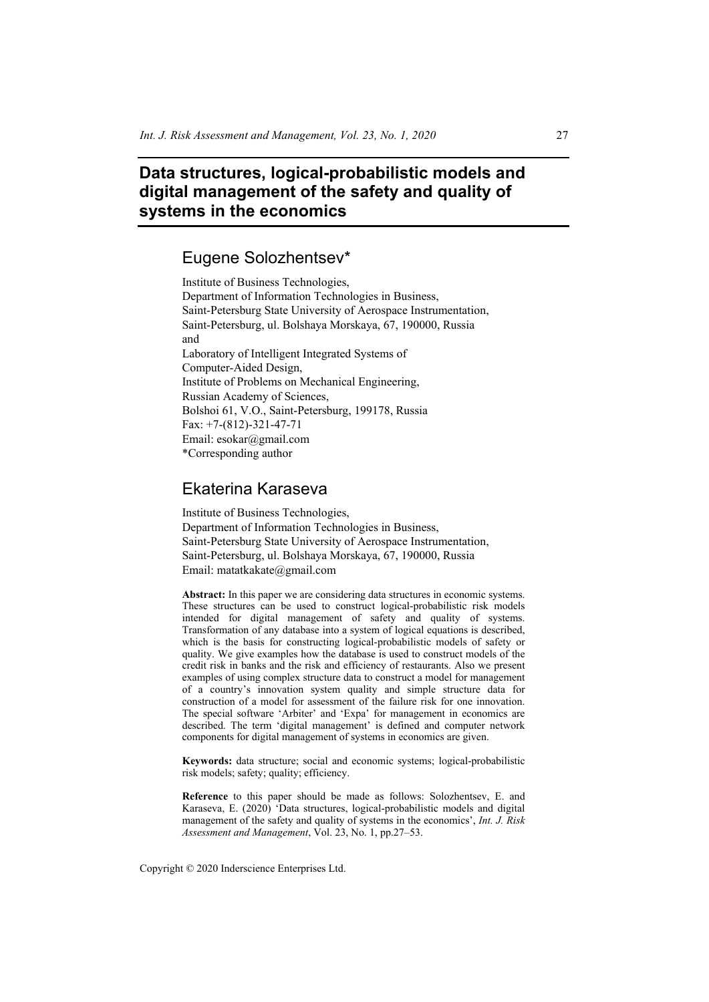# **Data structures, logical-probabilistic models and digital management of the safety and quality of systems in the economics**

# Eugene Solozhentsev\*

Institute of Business Technologies, Department of Information Technologies in Business, Saint-Petersburg State University of Aerospace Instrumentation, Saint-Petersburg, ul. Bolshaya Morskaya, 67, 190000, Russia and Laboratory of Intelligent Integrated Systems of Computer-Aided Design, Institute of Problems on Mechanical Engineering, Russian Academy of Sciences, Bolshoi 61, V.O., Saint-Petersburg, 199178, Russia Fax: +7-(812)-321-47-71 Email: esokar@gmail.com \*Corresponding author

# Ekaterina Karaseva

Institute of Business Technologies, Department of Information Technologies in Business, Saint-Petersburg State University of Aerospace Instrumentation, Saint-Petersburg, ul. Bolshaya Morskaya, 67, 190000, Russia Email: matatkakate@gmail.com

**Abstract:** In this paper we are considering data structures in economic systems. These structures can be used to construct logical-probabilistic risk models intended for digital management of safety and quality of systems. Transformation of any database into a system of logical equations is described, which is the basis for constructing logical-probabilistic models of safety or quality. We give examples how the database is used to construct models of the credit risk in banks and the risk and efficiency of restaurants. Also we present examples of using complex structure data to construct a model for management of a country's innovation system quality and simple structure data for construction of a model for assessment of the failure risk for one innovation. The special software 'Arbiter' and 'Expa' for management in economics are described. The term 'digital management' is defined and computer network components for digital management of systems in economics are given.

**Keywords:** data structure; social and economic systems; logical-probabilistiс risk models; safety; quality; efficiency.

**Reference** to this paper should be made as follows: Solozhentsev, E. and Karaseva, E. (2020) 'Data structures, logical-probabilistic models and digital management of the safety and quality of systems in the economics', *Int. J. Risk Assessment and Management*, Vol. 23, No. 1, pp.27–53.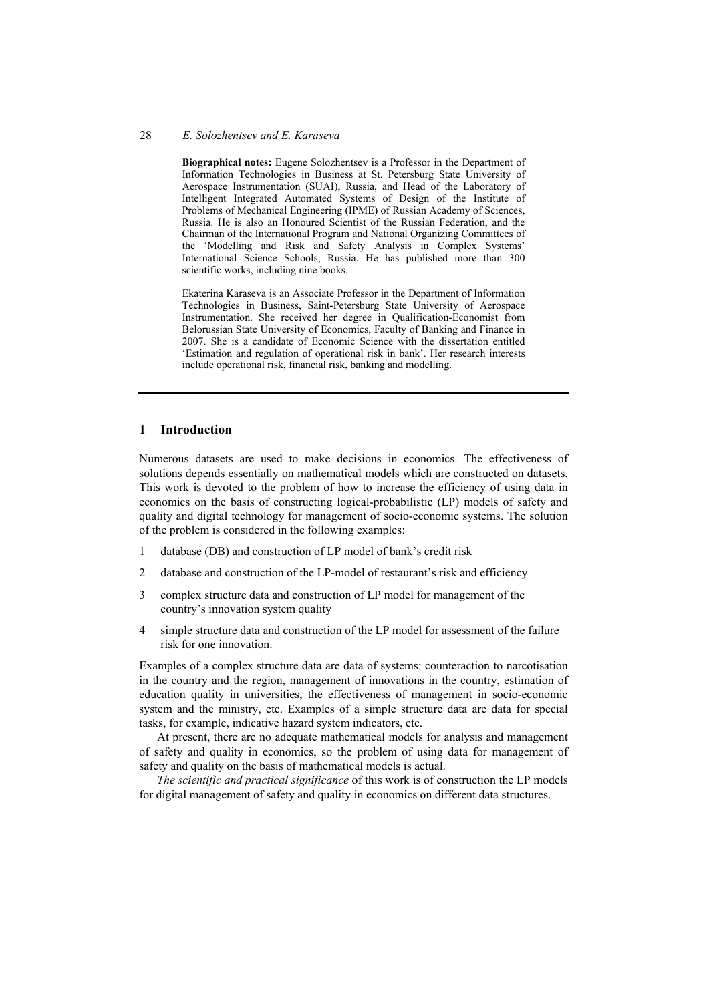#### 28 *E. Solozhentsev and E. Karaseva*

**Biographical notes:** Eugene Solozhentsev is a Professor in the Department of Information Technologies in Business at St. Petersburg State University of Aerospace Instrumentation (SUAI), Russia, and Head of the Laboratory of Intelligent Integrated Automated Systems of Design of the Institute of Problems of Mechanical Engineering (IPME) of Russian Academy of Sciences, Russia. He is also an Honoured Scientist of the Russian Federation, and the Chairman of the International Program and National Organizing Committees of the 'Modelling and Risk and Safety Analysis in Complex Systems' International Science Schools, Russia. He has published more than 300 scientific works, including nine books.

Ekaterina Karaseva is an Associate Professor in the Department of Information Technologies in Business, Saint-Petersburg State University of Aerospace Instrumentation. She received her degree in Qualification-Economist from Belorussian State University of Economics, Faculty of Banking and Finance in 2007. She is a candidate of Economic Science with the dissertation entitled 'Estimation and regulation of operational risk in bank'. Her research interests include operational risk, financial risk, banking and modelling.

## **1 Introduction**

Numerous datasets are used to make decisions in economics. The effectiveness of solutions depends essentially on mathematical models which are constructed on datasets. This work is devoted to the problem of how to increase the efficiency of using data in economics on the basis of constructing logical-probabilistic (LP) models of safety and quality and digital technology for management of socio-economic systems. The solution of the problem is considered in the following examples:

- 1 database (DB) and construction of LP model of bank's credit risk
- 2 database and construction of the LP-model of restaurant's risk and efficiency
- 3 complex structure data and construction of LP model for management of the country's innovation system quality
- 4 simple structure data and construction of the LP model for assessment of the failure risk for one innovation.

Examples of a complex structure data are data of systems: counteraction to narcotisation in the country and the region, management of innovations in the country, estimation of education quality in universities, the effectiveness of management in socio-economic system and the ministry, etc. Examples of a simple structure data are data for special tasks, for example, indicative hazard system indicators, etc.

At present, there are no adequate mathematical models for analysis and management of safety and quality in economics, so the problem of using data for management of safety and quality on the basis of mathematical models is actual.

*The scientific and practical significance* of this work is of construction the LP models for digital management of safety and quality in economics on different data structures.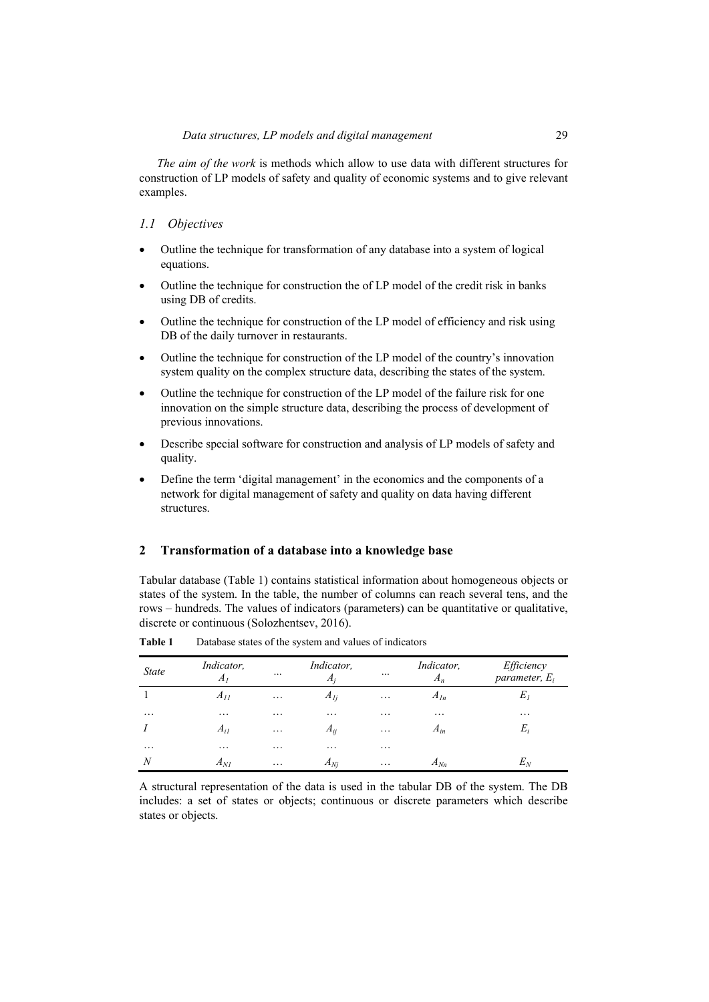*The aim of the work* is methods which allow to use data with different structures for construction of LP models of safety and quality of economic systems and to give relevant examples.

#### *1.1 Objectives*

- Outline the technique for transformation of any database into a system of logical equations.
- Outline the technique for construction the of LP model of the credit risk in banks using DB of credits.
- Outline the technique for construction of the LP model of efficiency and risk using DB of the daily turnover in restaurants.
- Outline the technique for construction of the LP model of the country's innovation system quality on the complex structure data, describing the states of the system.
- Outline the technique for construction of the LP model of the failure risk for one innovation on the simple structure data, describing the process of development of previous innovations.
- Describe special software for construction and analysis of LP models of safety and quality.
- Define the term 'digital management' in the economics and the components of a network for digital management of safety and quality on data having different structures.

## **2 Transformation of a database into a knowledge base**

Tabular database (Table 1) contains statistical information about homogeneous objects or states of the system. In the table, the number of columns can reach several tens, and the rows – hundreds. The values of indicators (parameters) can be quantitative or qualitative, discrete or continuous (Solozhentsev, 2016).

| <b>State</b> | Indicator,<br>A <sub>l</sub> | $\cdots$ | Indicator,<br>$A_i$ | $\cdots$ | Indicator,<br>$A_n$ | Efficiency<br>parameter, $E_i$ |
|--------------|------------------------------|----------|---------------------|----------|---------------------|--------------------------------|
|              | $A_{II}$                     | $\cdots$ | $A_{lj}$            | $\cdots$ | $A_{ln}$            | $E_I$                          |
| $\cdots$     | $\cdots$                     | $\cdots$ | $\cdots$            | $\cdots$ | $\cdots$            | $\cdots$                       |
|              | $A_{iI}$                     | $\cdots$ | $A_{ij}$            | $\cdots$ | $A_{in}$            | $E_i$                          |
| $\cdots$     | $\cdots$                     | $\cdots$ | $\cdots$            | $\cdots$ |                     |                                |
| N            | $A_{NI}$                     | $\cdots$ | $A_{Nj}$            | $\cdots$ | $A_{Nn}$            | $E_N$                          |

**Table 1** Database states of the system and values of indicators

A structural representation of the data is used in the tabular DB of the system. The DB includes: a set of states or objects; continuous or discrete parameters which describe states or objects.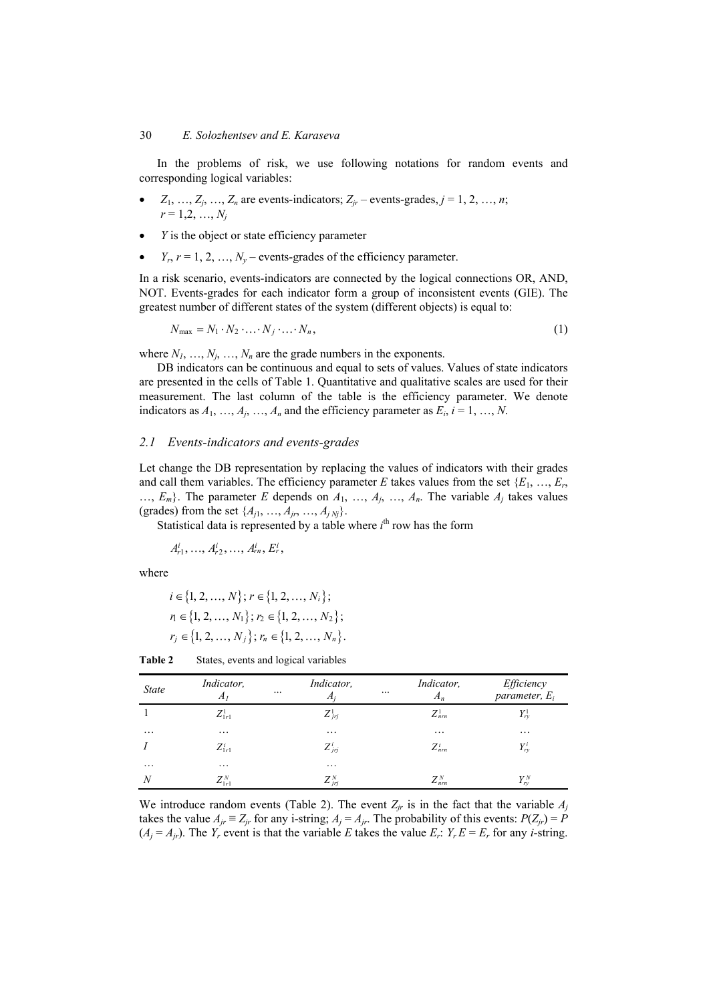In the problems of risk, we use following notations for random events and corresponding logical variables:

- $Z_1, \ldots, Z_j, \ldots, Z_n$  are events-indicators;  $Z_{ir}$  events-grades,  $j = 1, 2, \ldots, n$ ;  $r = 1, 2, ..., N_i$
- *Y* is the object or state efficiency parameter
- $Y_r$ ,  $r = 1, 2, ..., N_v$  events-grades of the efficiency parameter.

In a risk scenario, events-indicators are connected by the logical connections OR, AND, NOT. Events-grades for each indicator form a group of inconsistent events (GIE). The greatest number of different states of the system (different objects) is equal to:

$$
N_{\text{max}} = N_1 \cdot N_2 \cdot \ldots \cdot N_j \cdot \ldots \cdot N_n,\tag{1}
$$

where  $N_1, \ldots, N_j, \ldots, N_n$  are the grade numbers in the exponents.

DB indicators can be continuous and equal to sets of values. Values of state indicators are presented in the cells of Table 1. Quantitative and qualitative scales are used for their measurement. The last column of the table is the efficiency parameter. We denote indicators as  $A_1, \ldots, A_i, \ldots, A_n$  and the efficiency parameter as  $E_i$ ,  $i = 1, \ldots, N$ .

#### *2.1 Events-indicators and events-grades*

Let change the DB representation by replacing the values of indicators with their grades and call them variables. The efficiency parameter *E* takes values from the set  $\{E_1, \ldots, E_r\}$  $..., E_m$ . The parameter *E* depends on  $A_1, ..., A_j, ..., A_n$ . The variable  $A_j$  takes values (grades) from the set  $\{A_{i1}, ..., A_{ir}, ..., A_{jNj}\}.$ 

Statistical data is represented by a table where  $i<sup>th</sup>$  row has the form

$$
A_{r1}^i, ..., A_{r2}^i, ..., A_{rn}^i, E_r^i,
$$

where

$$
i \in \{1, 2, ..., N\}; r \in \{1, 2, ..., N_i\};
$$
  
\n
$$
r_1 \in \{1, 2, ..., N_1\}; r_2 \in \{1, 2, ..., N_2\};
$$
  
\n
$$
r_j \in \{1, 2, ..., N_j\}; r_n \in \{1, 2, ..., N_n\}.
$$

| <b>State</b> | Indicator,<br>$A_I$ | Indicator,<br>$\cdots$<br>$A_i$ | $\cdots$ | Indicator,<br>$A_n$ | Efficiency<br>parameter, $E_i$ |
|--------------|---------------------|---------------------------------|----------|---------------------|--------------------------------|
|              | $Z_{1r1}^1$         | $Z_{j r j}^1$                   |          | $Z_{nrn}^1$         | $Y_{ry}^1$                     |
| $\cdots$     | $\cdots$            | $\cdots$                        |          | $\cdots$            | $\cdots$                       |
|              | $Z_{1r1}^i$         | $Z_{j r j}^i$                   |          | $Z_{nrn}^{i}$       | $Y_{ry}^i$                     |
| $\cdots$     | $\cdots$            | $\cdots$                        |          |                     |                                |
| N            | $Z_{1r1}^N$         | $Z_{j r j}^N$                   |          | $Z_{nrn}^N$         | $Y_{rv}^N$                     |

**Table 2** States, events and logical variables

We introduce random events (Table 2). The event  $Z_{ir}$  is in the fact that the variable  $A_i$ takes the value  $A_{jr} \equiv Z_{jr}$  for any i-string;  $A_j = A_{jr}$ . The probability of this events:  $P(Z_{jr}) = P$  $(A<sub>i</sub> = A<sub>ir</sub>)$ . The *Y<sub>r</sub>* event is that the variable *E* takes the value *E<sub>r</sub>*: *Y<sub>r</sub> E* = *E<sub>r</sub>* for any *i*-string.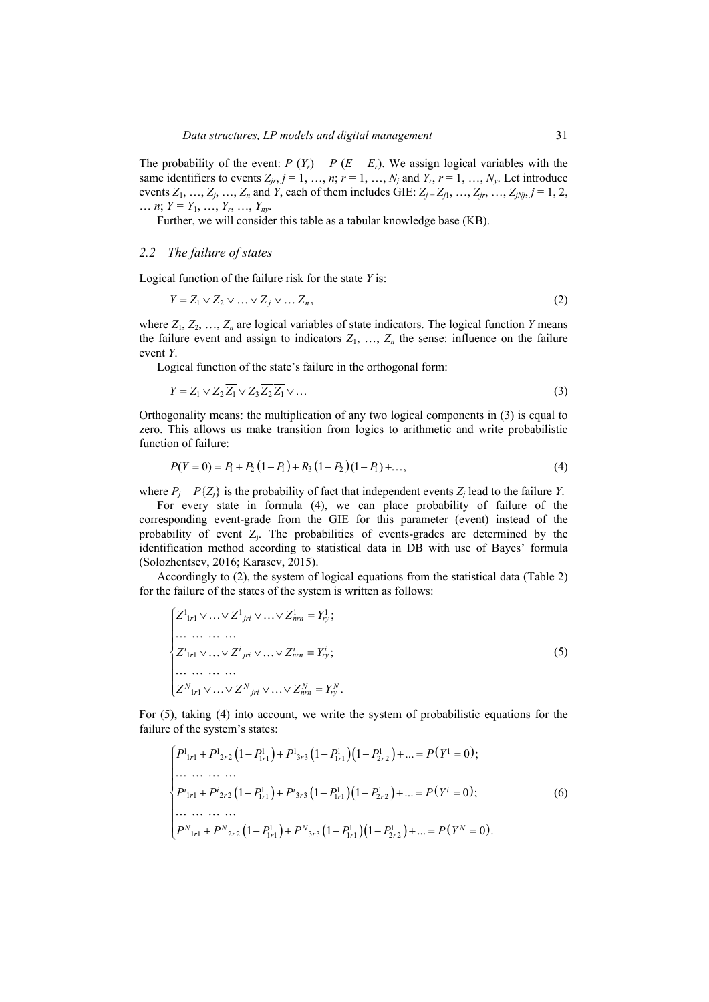The probability of the event: *P*  $(Y_r) = P(E = E_r)$ . We assign logical variables with the same identifiers to events  $Z_{ir}$ ,  $j = 1, ..., n$ ;  $r = 1, ..., N_j$  and  $Y_r$ ,  $r = 1, ..., N_y$ . Let introduce events  $Z_1, ..., Z_j, ..., Z_n$  and *Y*, each of them includes GIE:  $Z_j = Z_{j1}, ..., Z_{jr}, ..., Z_{jNj}, j = 1, 2, ...$ ... *n*;  $Y = Y_1, \ldots, Y_r, \ldots, Y_{nv}$ .

Further, we will consider this table as a tabular knowledge base (KB).

#### *2.2 The failure of states*

Logical function of the failure risk for the state *Y* is:

$$
Y = Z_1 \vee Z_2 \vee \dots \vee Z_j \vee \dots Z_n,\tag{2}
$$

where  $Z_1, Z_2, ..., Z_n$  are logical variables of state indicators. The logical function *Y* means the failure event and assign to indicators  $Z_1, \ldots, Z_n$  the sense: influence on the failure event *Y*.

Logical function of the state's failure in the orthogonal form:

$$
Y = Z_1 \vee Z_2 \overline{Z_1} \vee Z_3 \overline{Z_2} \overline{Z_1} \vee \dots \tag{3}
$$

Orthogonality means: the multiplication of any two logical components in (3) is equal to zero. This allows us make transition from logics to arithmetic and write probabilistic function of failure:

$$
P(Y=0) = P_1 + P_2(1-P_1) + R_3(1-P_2)(1-P_1) + ...,
$$
\n(4)

where  $P_j = P\{Z_j\}$  is the probability of fact that independent events  $Z_j$  lead to the failure *Y*.

For every state in formula (4), we can place probability of failure of the corresponding event-grade from the GIE for this parameter (event) instead of the probability of event  $Z_i$ . The probabilities of events-grades are determined by the identification method according to statistical data in DB with use of Bayes' formula (Solozhentsev, 2016; Karasev, 2015).

Accordingly to (2), the system of logical equations from the statistical data (Table 2) for the failure of the states of the system is written as follows:

$$
\begin{cases}\nZ^1_{1r1} \vee \dots \vee Z^1_{jri} \vee \dots \vee Z^1_{nrn} = Y^1_{ry}; \\
\dots & \dots & \dots \\
Z^i_{1r1} \vee \dots \vee Z^i_{jri} \vee \dots \vee Z^i_{nrn} = Y^i_{ry}; \\
\dots & \dots & \dots \\
Z^N_{1r1} \vee \dots \vee Z^N_{jri} \vee \dots \vee Z^N_{nrn} = Y^N_{ry}.\n\end{cases} \tag{5}
$$

For (5), taking (4) into account, we write the system of probabilistic equations for the failure of the system's states:

$$
\begin{cases}\nP^1_{1r1} + P^1_{2r2} (1 - P^1_{1r1}) + P^1_{3r3} (1 - P^1_{1r1}) (1 - P^1_{2r2}) + \dots = P(Y^1 = 0); \\
\dots \dots \dots \dots \\
P^i_{1r1} + P^i_{2r2} (1 - P^1_{1r1}) + P^i_{3r3} (1 - P^1_{1r1}) (1 - P^1_{2r2}) + \dots = P(Y^i = 0); \\
\dots \dots \dots \dots \\
P^N_{1r1} + P^N_{2r2} (1 - P^1_{1r1}) + P^N_{3r3} (1 - P^1_{1r1}) (1 - P^1_{2r2}) + \dots = P(Y^N = 0).\n\end{cases} (6)
$$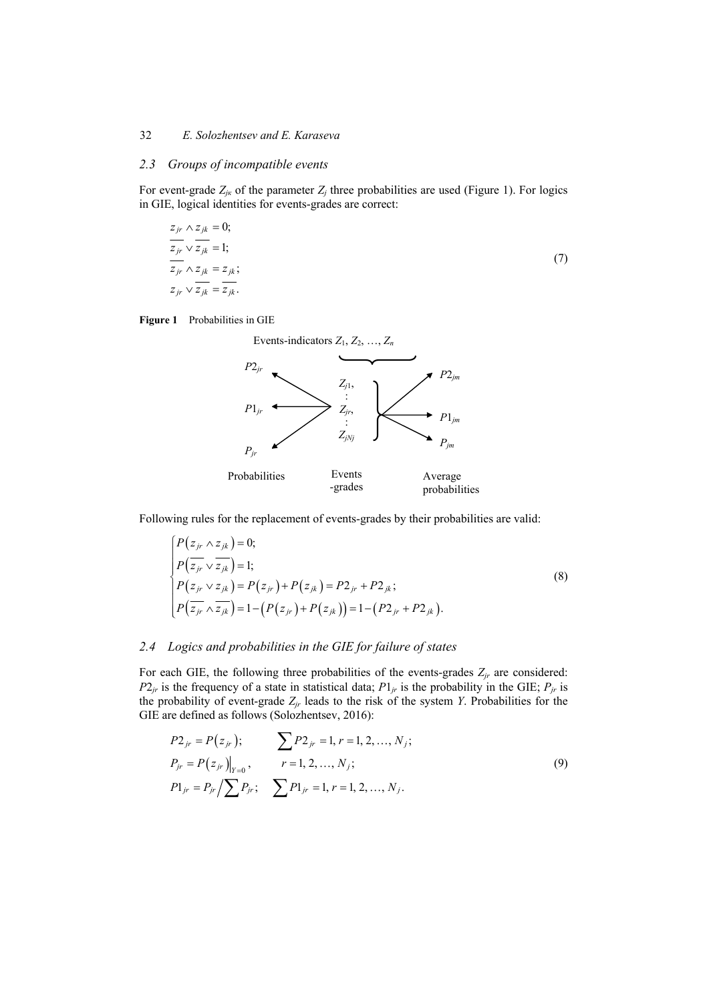#### *2.3 Groups of incompatible events*

For event-grade  $Z_{jk}$  of the parameter  $Z_j$  three probabilities are used (Figure 1). For logics in GIE, logical identities for events-grades are correct:

$$
z_{jr} \wedge z_{jk} = 0;
$$
  
\n
$$
\overline{z_{jr}} \vee \overline{z_{jk}} = 1;
$$
  
\n
$$
\overline{z_{jr}} \wedge z_{jk} = z_{jk};
$$
  
\n
$$
z_{jr} \vee \overline{z_{jk}} = \overline{z_{jk}}.
$$
\n(7)

**Figure 1** Probabilities in GIE



Following rules for the replacement of events-grades by their probabilities are valid:

$$
\begin{cases}\nP(z_{jr} \wedge z_{jk}) = 0; \\
P(\overline{z_{jr}} \vee \overline{z_{jk}}) = 1; \\
P(z_{jr} \vee z_{jk}) = P(z_{jr}) + P(z_{jk}) = P2_{jr} + P2_{jk}; \\
P(\overline{z_{jr}} \wedge \overline{z_{jk}}) = 1 - (P(z_{jr}) + P(z_{jk})) = 1 - (P2_{jr} + P2_{jk}).\n\end{cases} (8)
$$

### *2.4 Logics and probabilities in the GIE for failure of states*

For each GIE, the following three probabilities of the events-grades  $Z_{ir}$  are considered:  $P2_i$  is the frequency of a state in statistical data;  $P1_i$  is the probability in the GIE;  $P_i$  is the probability of event-grade  $Z_{ir}$  leads to the risk of the system *Y*. Probabilities for the GIE are defined as follows (Solozhentsev, 2016):

$$
P2_{jr} = P(z_{jr}); \t P2_{jr} = 1, r = 1, 2, ..., N_j;
$$
  
\n
$$
P_{jr} = P(z_{jr})|_{Y=0}, \t r = 1, 2, ..., N_j;
$$
  
\n
$$
P1_{jr} = P_{jr} / \sum P_{jr}; \sum P1_{jr} = 1, r = 1, 2, ..., N_j.
$$
  
\n(9)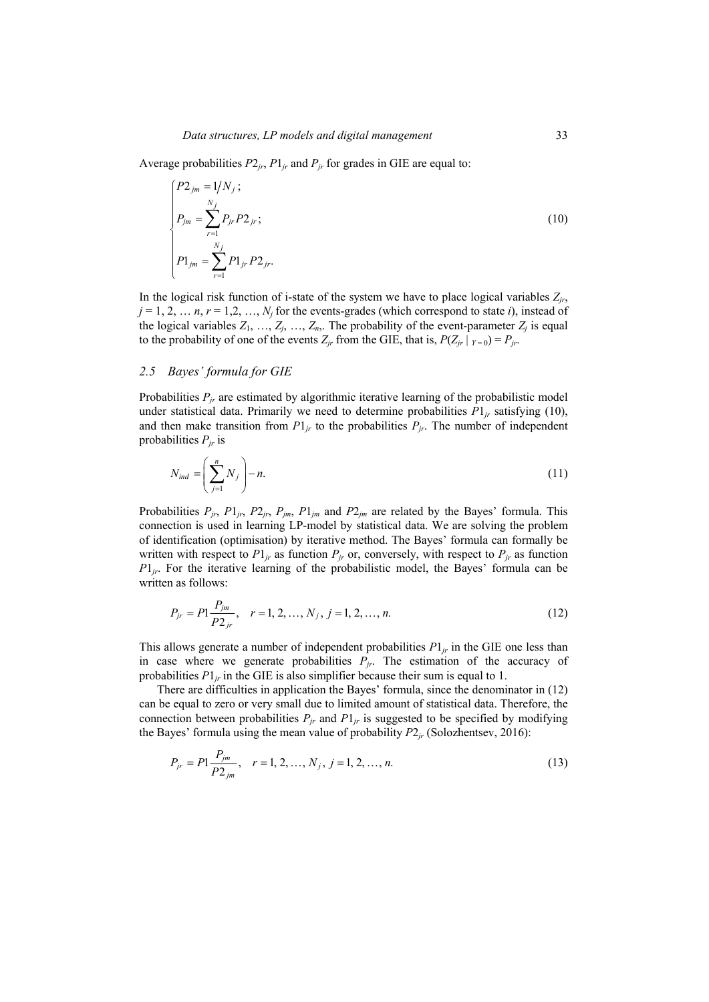Average probabilities  $P2_{ir}$ ,  $P1_{ir}$  and  $P_{ir}$  for grades in GIE are equal to:

$$
\begin{cases}\nP2_{jm} = 1/N_j; \\
P_{jm} = \sum_{r=1}^{N_j} P_{jr} P2_{jr}; \\
P1_{jm} = \sum_{r=1}^{N_j} P1_{jr} P2_{jr}.\n\end{cases} \tag{10}
$$

In the logical risk function of i-state of the system we have to place logical variables  $Z_{ir}$ ,  $j = 1, 2, \ldots n$ ,  $r = 1, 2, \ldots, N_j$  for the events-grades (which correspond to state *i*), instead of the logical variables  $Z_1, \ldots, Z_j, \ldots, Z_n$ . The probability of the event-parameter  $Z_i$  is equal to the probability of one of the events  $Z_{ir}$  from the GIE, that is,  $P(Z_{jr} | Y_{r=0}) = P_{jr}$ .

#### *2.5 Bayes' formula for GIE*

Probabilities  $P_{ir}$  are estimated by algorithmic iterative learning of the probabilistic model under statistical data. Primarily we need to determine probabilities  $P1_{ir}$  satisfying (10), and then make transition from  $P1_{ir}$  to the probabilities  $P_{ir}$ . The number of independent probabilities  $P_{ir}$  is

$$
N_{ind} = \left(\sum_{j=1}^{n} N_j\right) - n. \tag{11}
$$

Probabilities  $P_{ir}$ ,  $P1_{ir}$ ,  $P2_{ir}$ ,  $P_{im}$ ,  $P1_{im}$  and  $P2_{im}$  are related by the Bayes' formula. This connection is used in learning LP-model by statistical data. We are solving the problem of identification (optimisation) by iterative method. The Bayes' formula can formally be written with respect to  $P1_{ir}$  as function  $P_{ir}$  or, conversely, with respect to  $P_{ir}$  as function *P*1*jr*. For the iterative learning of the probabilistic model, the Bayes' formula can be written as follows:

$$
P_{jr} = P1 \frac{P_{jm}}{P2_{jr}}, \quad r = 1, 2, ..., N_j, j = 1, 2, ..., n.
$$
 (12)

This allows generate a number of independent probabilities *P*1*jr* in the GIE one less than in case where we generate probabilities  $P_{jr}$ . The estimation of the accuracy of probabilities *P*1*jr* in the GIE is also simplifier because their sum is equal to 1.

There are difficulties in application the Bayes' formula, since the denominator in (12) can be equal to zero or very small due to limited amount of statistical data. Therefore, the connection between probabilities  $P_{jr}$  and  $P_{jr}$  is suggested to be specified by modifying the Bayes' formula using the mean value of probability  $P2<sub>jr</sub>$  (Solozhentsev, 2016):

$$
P_{jr} = P1 \frac{P_{jm}}{P2_{jm}}, \quad r = 1, 2, ..., N_j, j = 1, 2, ..., n.
$$
 (13)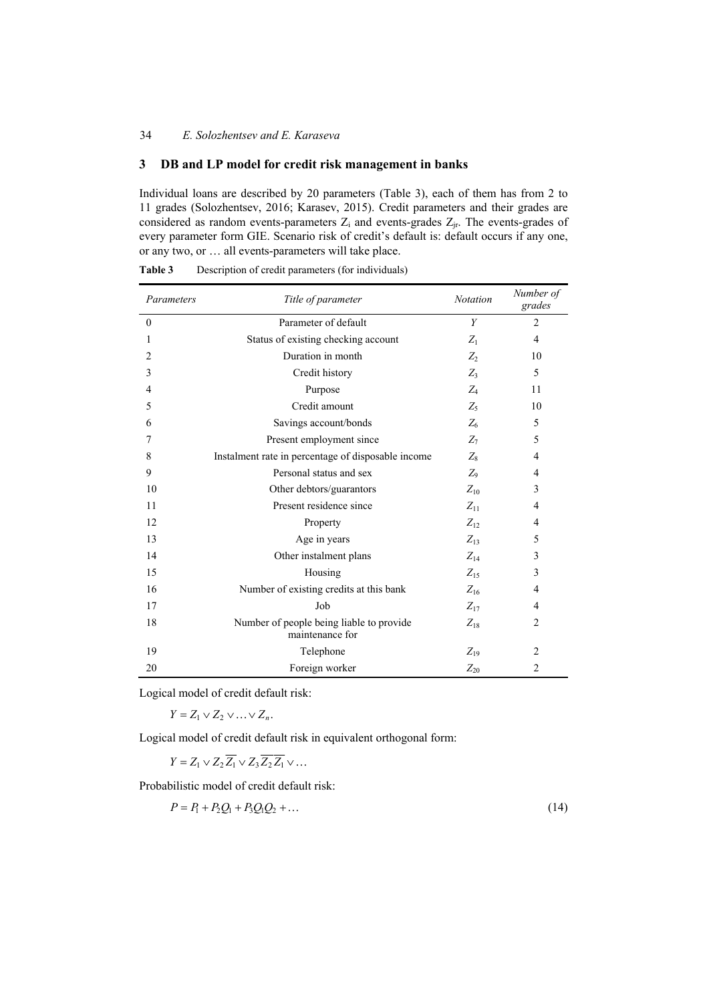### **3 DB and LP model for credit risk management in banks**

Individual loans are described by 20 parameters (Table 3), each of them has from 2 to 11 grades (Solozhentsev, 2016; Karasev, 2015). Credit parameters and their grades are considered as random events-parameters  $Z_i$  and events-grades  $Z_{ir}$ . The events-grades of every parameter form GIE. Scenario risk of credit's default is: default occurs if any one, or any two, or … all events-parameters will take place.

| Parameters   | Title of parameter                                          | <b>Notation</b> | Number of<br>grades |
|--------------|-------------------------------------------------------------|-----------------|---------------------|
| $\mathbf{0}$ | Parameter of default                                        | Y               | $\overline{c}$      |
| 1            | Status of existing checking account                         | $Z_1$           | $\overline{4}$      |
| 2            | Duration in month                                           | $Z_{2}$         | 10                  |
| 3            | Credit history                                              | $Z_3$           | 5                   |
| 4            | Purpose                                                     | $Z_4$           | 11                  |
| 5            | Credit amount                                               | $Z_5$           | 10                  |
| 6            | Savings account/bonds                                       | $Z_6$           | 5                   |
| 7            | Present employment since                                    | $Z_7$           | 5                   |
| 8            | Instalment rate in percentage of disposable income          | $Z_8$           | 4                   |
| 9            | Personal status and sex                                     | $Z_9$           | 4                   |
| 10           | Other debtors/guarantors                                    | $Z_{10}$        | 3                   |
| 11           | Present residence since                                     | $Z_{11}$        | 4                   |
| 12           | Property                                                    | $Z_{12}$        | $\overline{4}$      |
| 13           | Age in years                                                | $Z_{13}$        | 5                   |
| 14           | Other instalment plans                                      | $Z_{14}$        | 3                   |
| 15           | Housing                                                     | $Z_{15}$        | 3                   |
| 16           | Number of existing credits at this bank                     | $Z_{16}$        | $\overline{4}$      |
| 17           | Job                                                         | $Z_{17}$        | 4                   |
| 18           | Number of people being liable to provide<br>maintenance for | $Z_{18}$        | 2                   |
| 19           | Telephone                                                   | $Z_{19}$        | 2                   |
| 20           | Foreign worker                                              | $Z_{20}$        | $\overline{c}$      |

| Table 3<br>Description of credit parameters (for individuals) |  |
|---------------------------------------------------------------|--|
|---------------------------------------------------------------|--|

Logical model of credit default risk:

 $Y = Z_1 \vee Z_2 \vee \ldots \vee Z_n$ .

Logical model of credit default risk in equivalent orthogonal form:

 $Y = Z_1 \vee Z_2 \overline{Z_1} \vee Z_3 \overline{Z_2} \overline{Z_1} \vee \dots$ 

Probabilistic model of credit default risk:

$$
P = P_1 + P_2 Q_1 + P_3 Q_1 Q_2 + \dots \tag{14}
$$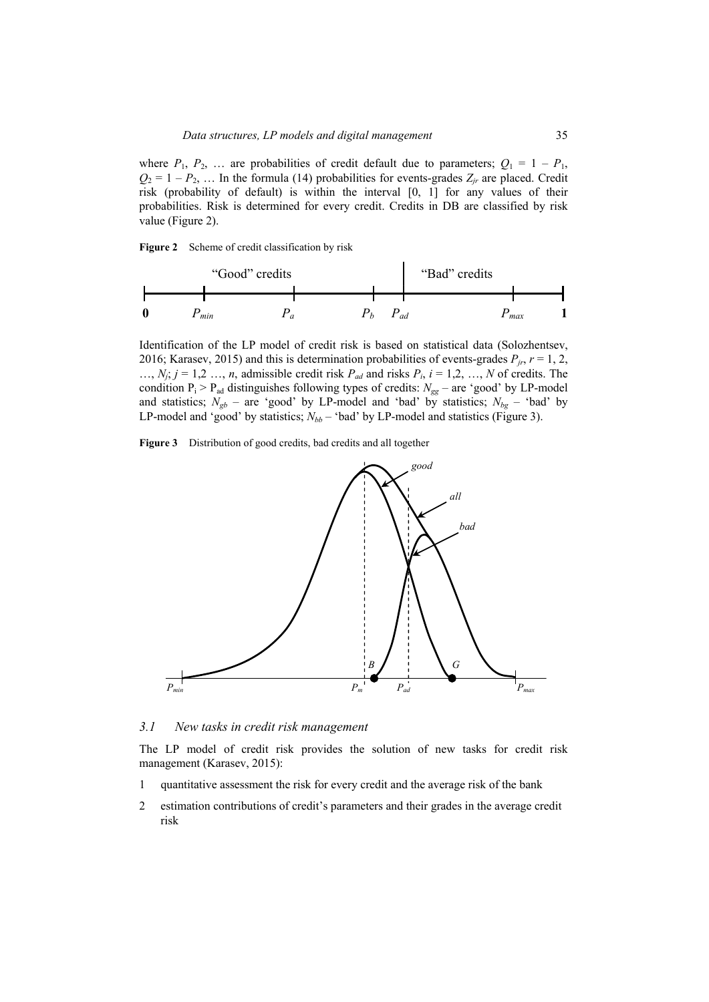where  $P_1$ ,  $P_2$ , ... are probabilities of credit default due to parameters;  $Q_1 = 1 - P_1$ ,  $Q_2 = 1 - P_2$ , ... In the formula (14) probabilities for events-grades  $Z_i$  are placed. Credit risk (probability of default) is within the interval [0, 1] for any values of their probabilities. Risk is determined for every credit. Credits in DB are classified by risk value (Figure 2).

**Figure 2** Scheme of credit classification by risk



Identification of the LP model of credit risk is based on statistical data (Solozhentsev, 2016; Karasev, 2015) and this is determination probabilities of events-grades  $P_i$ ,  $r = 1, 2$ ,  $..., N<sub>i</sub>; j = 1,2..., n$ , admissible credit risk  $P<sub>ad</sub>$  and risks  $P<sub>i</sub>$ ,  $i = 1,2,..., N$  of credits. The condition  $P_i > P_{ad}$  distinguishes following types of credits:  $N_{gg}$  – are 'good' by LP-model and statistics;  $N_{gb}$  – are 'good' by LP-model and 'bad' by statistics;  $N_{bg}$  – 'bad' by LP-model and 'good' by statistics;  $N_{bb}$  – 'bad' by LP-model and statistics (Figure 3).

**Figure 3** Distribution of good credits, bad credits and all together



#### *3.1 New tasks in credit risk management*

The LP model of credit risk provides the solution of new tasks for credit risk management (Karasev, 2015):

- 1 quantitative assessment the risk for every credit and the average risk of the bank
- 2 estimation contributions of credit's parameters and their grades in the average credit risk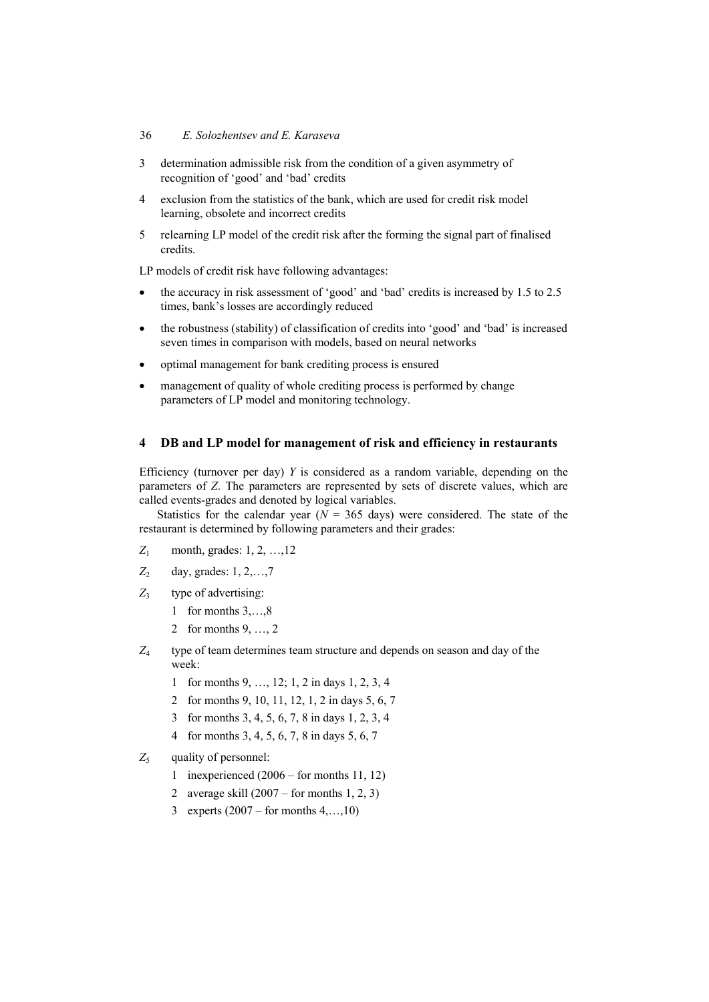- 3 determination admissible risk from the condition of a given asymmetry of recognition of 'good' and 'bad' credits
- 4 exclusion from the statistics of the bank, which are used for credit risk model learning, obsolete and incorrect credits
- 5 relearning LP model of the credit risk after the forming the signal part of finalised credits.

LP models of credit risk have following advantages:

- $\bullet$  the accuracy in risk assessment of 'good' and 'bad' credits is increased by 1.5 to 2.5 times, bank's losses are accordingly reduced
- the robustness (stability) of classification of credits into 'good' and 'bad' is increased seven times in comparison with models, based on neural networks
- optimal management for bank crediting process is ensured
- management of quality of whole crediting process is performed by change parameters of LP model and monitoring technology.

# **4 DB and LP model for management of risk and efficiency in restaurants**

Efficiency (turnover per day) *Y* is considered as a random variable, depending on the parameters of *Z*. The parameters are represented by sets of discrete values, which are called events-grades and denoted by logical variables.

Statistics for the calendar year ( $N = 365$  days) were considered. The state of the restaurant is determined by following parameters and their grades:

- *Z*1 month, grades: 1, 2, …,12
- *Z*<sub>2</sub> day, grades: 1, 2, ..., 7
- Z<sub>3</sub> type of advertising:
	- 1 for months 3,…,8
	- 2 for months 9, …, 2
- *Z*4 type of team determines team structure and depends on season and day of the week:
	- 1 for months 9, …, 12; 1, 2 in days 1, 2, 3, 4
	- 2 for months 9, 10, 11, 12, 1, 2 in days 5, 6, 7
	- 3 for months 3, 4, 5, 6, 7, 8 in days 1, 2, 3, 4
	- 4 for months 3, 4, 5, 6, 7, 8 in days 5, 6, 7
- Z<sub>5</sub> quality of personnel:
	- 1 inexperienced (2006 for months 11, 12)
	- 2 average skill  $(2007 -$  for months 1, 2, 3)
	- 3 experts  $(2007 for months 4,...,10)$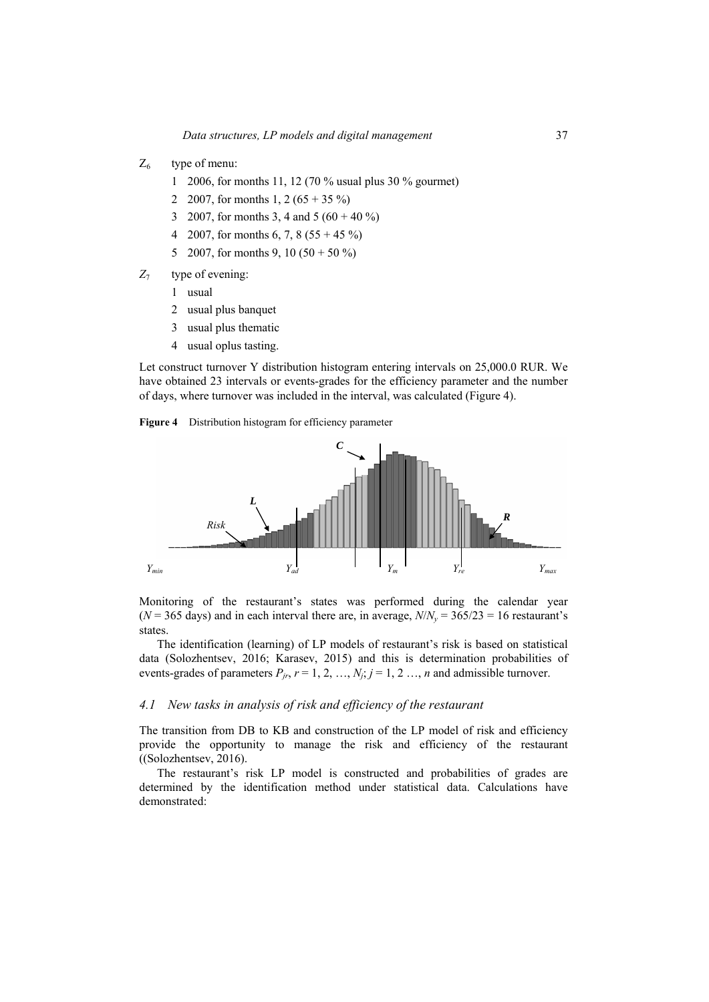- $Z_6$  type of menu:
	- 1 2006, for months 11, 12 (70 % usual plus 30 % gourmet)
	- 2 2007, for months 1, 2  $(65 + 35\%)$
	- 3 2007, for months 3, 4 and 5  $(60 + 40\%)$
	- 4 2007, for months 6, 7, 8  $(55 + 45\%)$
	- 5 2007, for months 9, 10  $(50 + 50 \%)$
- *Z*7 type of evening:
	- 1 usual
	- 2 usual plus banquet
	- 3 usual plus thematic
	- 4 usual оplus tasting.

Let construct turnover Y distribution histogram entering intervals on 25,000.0 RUR. We have obtained 23 intervals or events-grades for the efficiency parameter and the number of days, where turnover was included in the interval, was calculated (Figure 4).

**Figure 4** Distribution histogram for efficiency parameter



Monitoring of the restaurant's states was performed during the calendar year  $(N = 365 \text{ days})$  and in each interval there are, in average,  $N/N_v = 365/23 = 16 \text{ restaurant's}$ states.

The identification (learning) of LP models of restaurant's risk is based on statistical data (Solozhentsev, 2016; Karasev, 2015) and this is determination probabilities of events-grades of parameters  $P_{ir}$ ,  $r = 1, 2, ..., N_i$ ;  $j = 1, 2, ..., n$  and admissible turnover.

#### *4.1 New tasks in analysis of risk and efficiency of the restaurant*

The transition from DB to KB and construction of the LP model of risk and efficiency provide the opportunity to manage the risk and efficiency of the restaurant ((Solozhentsev, 2016).

The restaurant's risk LP model is constructed and probabilities of grades are determined by the identification method under statistical data. Calculations have demonstrated: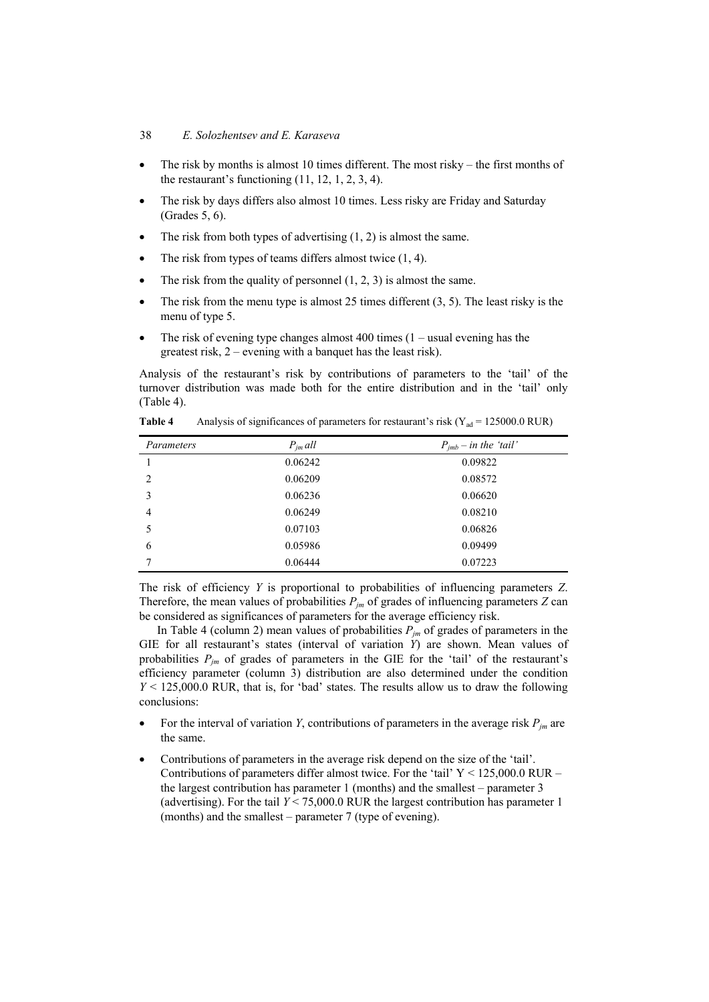- $\bullet$  The risk by months is almost 10 times different. The most risky the first months of the restaurant's functioning  $(11, 12, 1, 2, 3, 4)$ .
- The risk by days differs also almost 10 times. Less risky are Friday and Saturday (Grades 5, 6).
- The risk from both types of advertising  $(1, 2)$  is almost the same.
- The risk from types of teams differs almost twice  $(1, 4)$ .
- The risk from the quality of personnel (1, 2, 3) is almost the same.
- The risk from the menu type is almost 25 times different  $(3, 5)$ . The least risky is the menu of type 5.
- $\bullet$  The risk of evening type changes almost 400 times (1 usual evening has the greatest risk, 2 – evening with a banquet has the least risk).

Analysis of the restaurant's risk by contributions of parameters to the 'tail' of the turnover distribution was made both for the entire distribution and in the 'tail' only (Table 4).

| Parameters | $P_{im}$ all | $P_{\text{imb}} - in$ the 'tail' |
|------------|--------------|----------------------------------|
|            | 0.06242      | 0.09822                          |
| 2          | 0.06209      | 0.08572                          |
| 3          | 0.06236      | 0.06620                          |
| 4          | 0.06249      | 0.08210                          |
| 5          | 0.07103      | 0.06826                          |
| 6          | 0.05986      | 0.09499                          |
| 7          | 0.06444      | 0.07223                          |

**Table 4** Analysis of significances of parameters for restaurant's risk  $(Y_{ad} = 125000.0 \text{ RUR})$ 

The risk of efficiency *Y* is proportional to probabilities of influencing parameters *Z*. Therefore, the mean values of probabilities  $P_{jm}$  of grades of influencing parameters  $Z$  can be considered as significances of parameters for the average efficiency risk.

In Table 4 (column 2) mean values of probabilities  $P_{im}$  of grades of parameters in the GIE for all restaurant's states (interval of variation *Y*) are shown. Mean values of probabilities *Pjm* of grades of parameters in the GIE for the 'tail' of the restaurant's efficiency parameter (column 3) distribution are also determined under the condition *Y* < 125,000.0 RUR, that is, for 'bad' states. The results allow us to draw the following conclusions:

- For the interval of variation *Y*, contributions of parameters in the average risk  $P_{im}$  are the same.
- Contributions of parameters in the average risk depend on the size of the 'tail'. Contributions of parameters differ almost twice. For the 'tail'  $Y \le 125,000.0$  RUR – the largest contribution has parameter 1 (months) and the smallest – parameter 3 (advertising). For the tail  $Y < 75,000.0$  RUR the largest contribution has parameter 1 (months) and the smallest – parameter 7 (type of evening).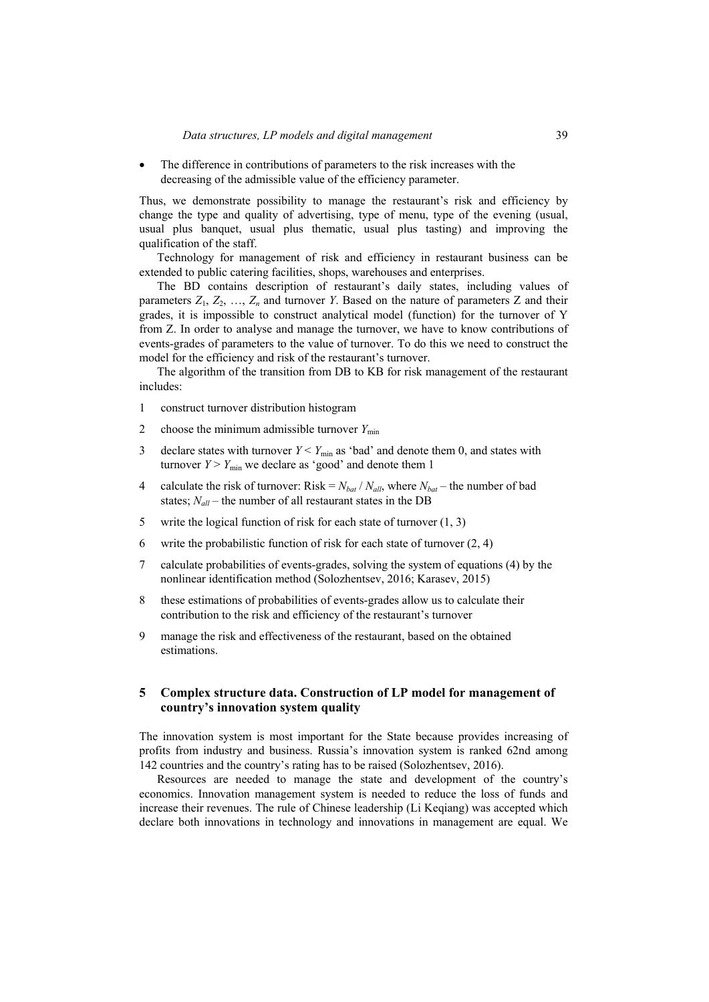The difference in contributions of parameters to the risk increases with the decreasing of the admissible value of the efficiency parameter.

Thus, we demonstrate possibility to manage the restaurant's risk and efficiency by change the type and quality of advertising, type of menu, type of the evening (usual, usual plus banquet, usual plus thematic, usual plus tasting) and improving the qualification of the staff.

Technology for management of risk and efficiency in restaurant business can be extended to public catering facilities, shops, warehouses and enterprises.

The BD contains description of restaurant's daily states, including values of parameters  $Z_1, Z_2, \ldots, Z_n$  and turnover *Y*. Based on the nature of parameters *Z* and their grades, it is impossible to construct analytical model (function) for the turnover of Y from Z. In order to analyse and manage the turnover, we have to know contributions of events-grades of parameters to the value of turnover. To do this we need to construct the model for the efficiency and risk of the restaurant's turnover.

The algorithm of the transition from DB to KB for risk management of the restaurant includes:

- 1 construct turnover distribution histogram
- 2 choose the minimum admissible turnover  $Y_{\text{min}}$
- 3 declare states with turnover  $Y \le Y_{\text{min}}$  as 'bad' and denote them 0, and states with turnover  $Y > Y_{\text{min}}$  we declare as 'good' and denote them 1
- 4 calculate the risk of turnover:  $Risk = N_{bat} / N_{all}$ , where  $N_{bat}$  the number of bad states;  $N_{all}$  – the number of all restaurant states in the DB
- 5 write the logical function of risk for each state of turnover (1, 3)
- 6 write the probabilistic function of risk for each state of turnover  $(2, 4)$
- 7 calculate probabilities of events-grades, solving the system of equations (4) by the nonlinear identification method (Solozhentsev, 2016; Karasev, 2015)
- 8 these estimations of probabilities of events-grades allow us to calculate their contribution to the risk and efficiency of the restaurant's turnover
- 9 manage the risk and effectiveness of the restaurant, based on the obtained estimations.

#### **5 Complex structure data. Construction of LP model for management of country's innovation system quality**

The innovation system is most important for the State because provides increasing of profits from industry and business. Russia's innovation system is ranked 62nd among 142 countries and the country's rating has to be raised (Solozhentsev, 2016).

Resources are needed to manage the state and development of the country's economics. Innovation management system is needed to reduce the loss of funds and increase their revenues. The rule of Chinese leadership (Li Keqiang) was accepted which declare both innovations in technology and innovations in management are equal. We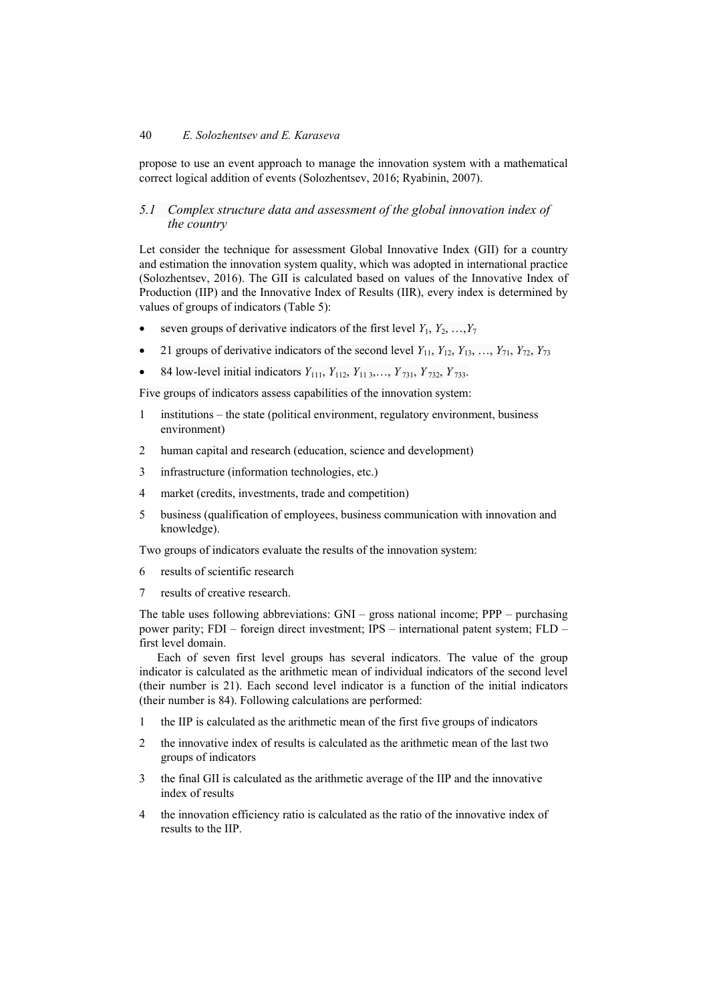propose to use an event approach to manage the innovation system with a mathematical correct logical addition of events (Solozhentsev, 2016; Ryabinin, 2007).

# *5.1 Complex structure data and assessment of the global innovation index of the country*

Let consider the technique for assessment Global Innovative Index (GII) for a country and estimation the innovation system quality, which was adopted in international practice (Solozhentsev, 2016). The GII is calculated based on values of the Innovative Index of Production (IIP) and the Innovative Index of Results (IIR), every index is determined by values of groups of indicators (Table 5):

- seven groups of derivative indicators of the first level  $Y_1, Y_2, ..., Y_7$
- 21 groups of derivative indicators of the second level  $Y_{11}$ ,  $Y_{12}$ ,  $Y_{13}$ , …,  $Y_{71}$ ,  $Y_{72}$ ,  $Y_{73}$
- 84 low-level initial indicators  $Y_{111}$ ,  $Y_{112}$ ,  $Y_{113}$ ,...,  $Y_{731}$ ,  $Y_{732}$ ,  $Y_{733}$ .

Five groups of indicators assess capabilities of the innovation system:

- 1 institutions the state (political environment, regulatory environment, business environment)
- 2 human capital and research (education, science and development)
- 3 infrastructure (information technologies, etc.)
- 4 market (credits, investments, trade and competition)
- 5 business (qualification of employees, business communication with innovation and knowledge).

Two groups of indicators evaluate the results of the innovation system:

- 6 results of scientific research
- 7 results of creative research.

The table uses following abbreviations: GNI – gross national income; PPP – purchasing power parity; FDI – foreign direct investment; IPS – international patent system; FLD – first level domain.

Each of seven first level groups has several indicators. The value of the group indicator is calculated as the arithmetic mean of individual indicators of the second level (their number is 21). Each second level indicator is a function of the initial indicators (their number is 84). Following calculations are performed:

- 1 the IIP is calculated as the arithmetic mean of the first five groups of indicators
- 2 the innovative index of results is calculated as the arithmetic mean of the last two groups of indicators
- 3 the final GII is calculated as the arithmetic average of the IIP and the innovative index of results
- 4 the innovation efficiency ratio is calculated as the ratio of the innovative index of results to the IIP.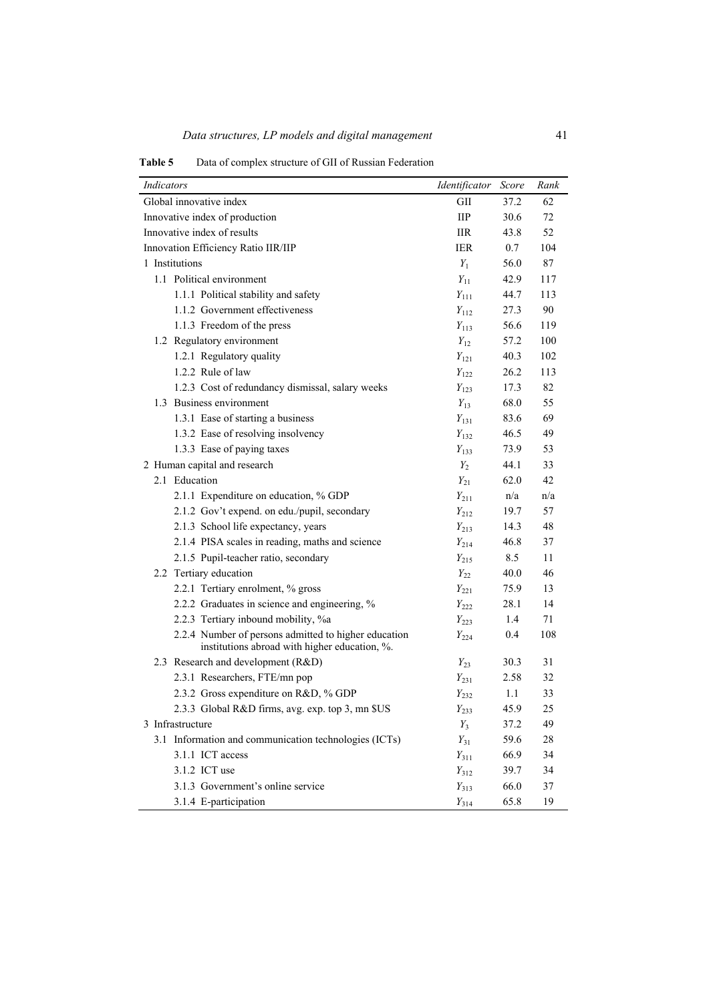| Data of complex structure of GII of Russian Federation<br><b>Table 5</b> |  |
|--------------------------------------------------------------------------|--|
|--------------------------------------------------------------------------|--|

| Indicators                                                                                            | Identificator | Score | Rank |
|-------------------------------------------------------------------------------------------------------|---------------|-------|------|
| Global innovative index                                                                               | GП            | 37.2  | 62   |
| Innovative index of production                                                                        | $_{\rm IIP}$  | 30.6  | 72   |
| Innovative index of results                                                                           | IIR           | 43.8  | 52   |
| Innovation Efficiency Ratio IIR/IIP                                                                   | <b>IER</b>    | 0.7   | 104  |
| 1 Institutions                                                                                        | $Y_1$         | 56.0  | 87   |
| 1.1 Political environment                                                                             | $Y_{11}$      | 42.9  | 117  |
| 1.1.1 Political stability and safety                                                                  | $Y_{111}$     | 44.7  | 113  |
| 1.1.2 Government effectiveness                                                                        | $Y_{112}$     | 27.3  | 90   |
| 1.1.3 Freedom of the press                                                                            | $Y_{113}$     | 56.6  | 119  |
| 1.2 Regulatory environment                                                                            | $Y_{12}$      | 57.2  | 100  |
| 1.2.1 Regulatory quality                                                                              | $Y_{121}$     | 40.3  | 102  |
| 1.2.2 Rule of law                                                                                     | $Y_{122}$     | 26.2  | 113  |
| 1.2.3 Cost of redundancy dismissal, salary weeks                                                      | $Y_{123}$     | 17.3  | 82   |
| 1.3 Business environment                                                                              | $Y_{13}$      | 68.0  | 55   |
| 1.3.1 Ease of starting a business                                                                     | $Y_{131}$     | 83.6  | 69   |
| 1.3.2 Ease of resolving insolvency                                                                    | $Y_{132}$     | 46.5  | 49   |
| 1.3.3 Ease of paying taxes                                                                            | $Y_{133}$     | 73.9  | 53   |
| 2 Human capital and research                                                                          | $Y_2$         | 44.1  | 33   |
| 2.1 Education                                                                                         | $Y_{21}$      | 62.0  | 42   |
| 2.1.1 Expenditure on education, % GDP                                                                 | $Y_{211}$     | n/a   | n/a  |
| 2.1.2 Gov't expend. on edu./pupil, secondary                                                          | $Y_{212}$     | 19.7  | 57   |
| 2.1.3 School life expectancy, years                                                                   | $Y_{213}$     | 14.3  | 48   |
| 2.1.4 PISA scales in reading, maths and science                                                       | $Y_{214}$     | 46.8  | 37   |
| 2.1.5 Pupil-teacher ratio, secondary                                                                  | $Y_{215}$     | 8.5   | 11   |
| 2.2 Tertiary education                                                                                | $Y_{22}$      | 40.0  | 46   |
| 2.2.1 Tertiary enrolment, % gross                                                                     | $Y_{221}$     | 75.9  | 13   |
| 2.2.2 Graduates in science and engineering, %                                                         | $Y_{222}$     | 28.1  | 14   |
| 2.2.3 Tertiary inbound mobility, %a                                                                   | $Y_{223}$     | 1.4   | 71   |
| 2.2.4 Number of persons admitted to higher education<br>institutions abroad with higher education, %. | $Y_{224}$     | 0.4   | 108  |
| 2.3 Research and development (R&D)                                                                    | $Y_{23}$      | 30.3  | 31   |
| 2.3.1 Researchers, FTE/mn pop                                                                         | $Y_{231}$     | 2.58  | 32   |
| 2.3.2 Gross expenditure on R&D, % GDP                                                                 | $Y_{232}$     | 1.1   | 33   |
| 2.3.3 Global R&D firms, avg. exp. top 3, mn \$US                                                      | $Y_{233}$     | 45.9  | 25   |
| 3 Infrastructure                                                                                      | $Y_3$         | 37.2  | 49   |
| 3.1 Information and communication technologies (ICTs)                                                 | $Y_{31}$      | 59.6  | 28   |
| 3.1.1 ICT access                                                                                      | $Y_{311}$     | 66.9  | 34   |
| 3.1.2 ICT use                                                                                         | $Y_{312}$     | 39.7  | 34   |
| 3.1.3 Government's online service                                                                     | $Y_{313}$     | 66.0  | 37   |
| 3.1.4 E-participation                                                                                 | $Y_{314}$     | 65.8  | 19   |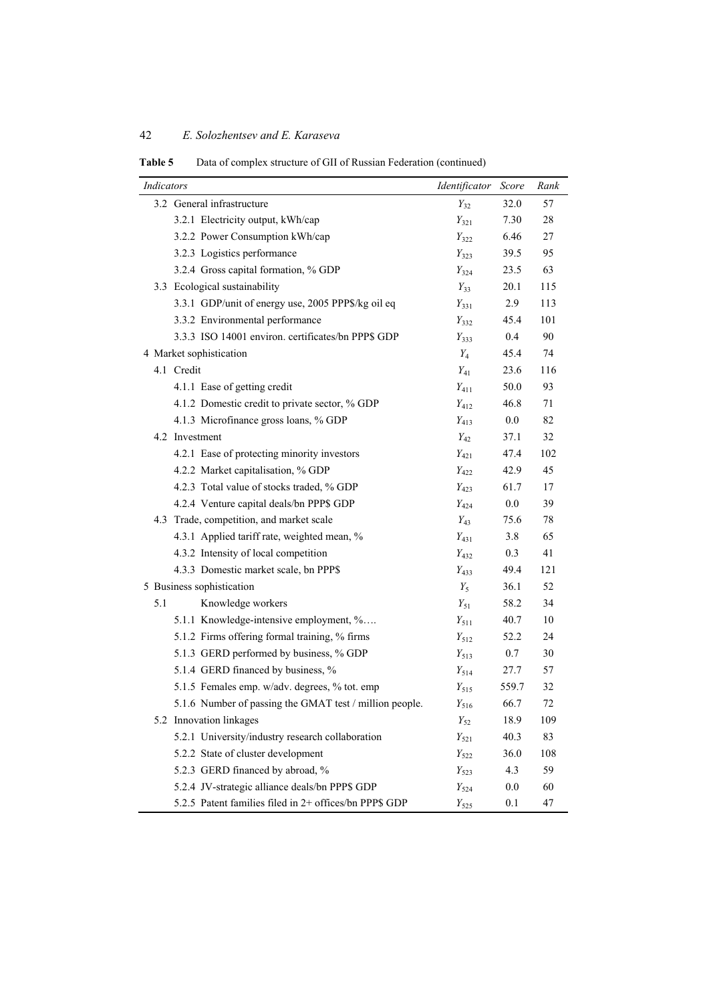| <b>Table 5</b> | Data of complex structure of GII of Russian Federation (continued) |  |  |  |  |
|----------------|--------------------------------------------------------------------|--|--|--|--|
|----------------|--------------------------------------------------------------------|--|--|--|--|

| Indicators                                              | Identificator | Score | Rank   |
|---------------------------------------------------------|---------------|-------|--------|
| 3.2 General infrastructure                              | $Y_{32}$      | 32.0  | 57     |
| 3.2.1 Electricity output, kWh/cap                       | $Y_{321}$     | 7.30  | 28     |
| 3.2.2 Power Consumption kWh/cap                         | $Y_{322}$     | 6.46  | 27     |
| 3.2.3 Logistics performance                             | $Y_{323}$     | 39.5  | 95     |
| 3.2.4 Gross capital formation, % GDP                    | $Y_{324}$     | 23.5  | 63     |
| 3.3 Ecological sustainability                           | $Y_{33}$      | 20.1  | 115    |
| 3.3.1 GDP/unit of energy use, 2005 PPP\$/kg oil eq      | $Y_{331}$     | 2.9   | 113    |
| 3.3.2 Environmental performance                         | $Y_{332}$     | 45.4  | 101    |
| 3.3.3 ISO 14001 environ. certificates/bn PPP\$ GDP      | $Y_{333}$     | 0.4   | 90     |
| 4 Market sophistication                                 | $Y_4$         | 45.4  | 74     |
| 4.1 Credit                                              | $Y_{41}$      | 23.6  | 116    |
| 4.1.1 Ease of getting credit                            | $Y_{411}$     | 50.0  | 93     |
| 4.1.2 Domestic credit to private sector, % GDP          | $Y_{412}$     | 46.8  | 71     |
| 4.1.3 Microfinance gross loans, % GDP                   | $Y_{413}$     | 0.0   | 82     |
| 4.2 Investment                                          | $Y_{42}$      | 37.1  | 32     |
| 4.2.1 Ease of protecting minority investors             | $Y_{421}$     | 47.4  | 102    |
| 4.2.2 Market capitalisation, % GDP                      | $Y_{422}$     | 42.9  | 45     |
| 4.2.3 Total value of stocks traded, % GDP               | $Y_{423}$     | 61.7  | 17     |
| 4.2.4 Venture capital deals/bn PPP\$ GDP                | $Y_{424}$     | 0.0   | 39     |
| 4.3 Trade, competition, and market scale                | $Y_{43}$      | 75.6  | 78     |
| 4.3.1 Applied tariff rate, weighted mean, %             | $Y_{431}$     | 3.8   | 65     |
| 4.3.2 Intensity of local competition                    | $Y_{432}$     | 0.3   | 41     |
| 4.3.3 Domestic market scale, bn PPP\$                   | $Y_{433}$     | 49.4  | 121    |
| 5 Business sophistication                               | $Y_5$         | 36.1  | 52     |
| 5.1<br>Knowledge workers                                | $Y_{51}$      | 58.2  | 34     |
| 5.1.1 Knowledge-intensive employment, %                 | $Y_{511}$     | 40.7  | 10     |
| 5.1.2 Firms offering formal training, % firms           | $Y_{512}$     | 52.2  | 24     |
| 5.1.3 GERD performed by business, % GDP                 | $Y_{513}$     | 0.7   | 30     |
| 5.1.4 GERD financed by business, %                      | $Y_{514}$     | 27.7  | 57     |
| 5.1.5 Females emp. w/adv. degrees, % tot. emp           | $Y_{515}$     | 559.7 | 32     |
| 5.1.6 Number of passing the GMAT test / million people. | $Y_{516}$     | 66.7  | $72\,$ |
| 5.2 Innovation linkages                                 | $Y_{52}$      | 18.9  | 109    |
| 5.2.1 University/industry research collaboration        | $Y_{521}$     | 40.3  | 83     |
| 5.2.2 State of cluster development                      | $Y_{522}$     | 36.0  | 108    |
| 5.2.3 GERD financed by abroad, %                        | $Y_{523}$     | 4.3   | 59     |
| 5.2.4 JV-strategic alliance deals/bn PPP\$ GDP          | $Y_{524}$     | 0.0   | 60     |
| 5.2.5 Patent families filed in 2+ offices/bn PPP\$ GDP  | $Y_{525}$     | 0.1   | 47     |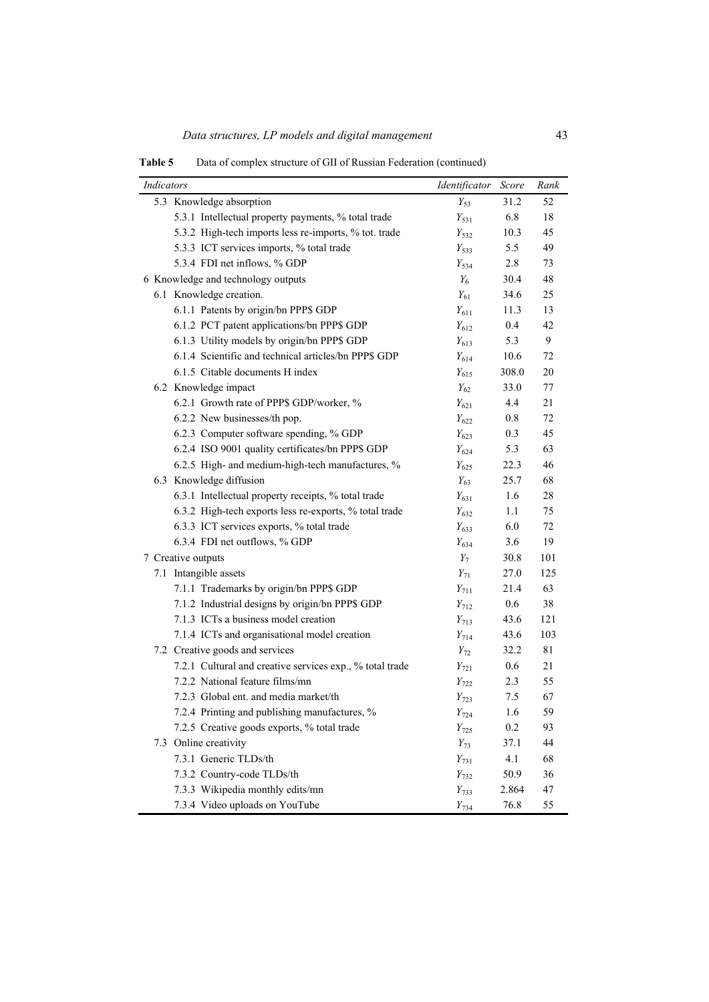| Indicators                                               | Identificator | Score   | Rank |
|----------------------------------------------------------|---------------|---------|------|
| 5.3 Knowledge absorption                                 | $Y_{53}$      | 31.2    | 52   |
| 5.3.1 Intellectual property payments, % total trade      | $Y_{531}$     | 6.8     | 18   |
| 5.3.2 High-tech imports less re-imports, % tot. trade    | $Y_{532}$     | 10.3    | 45   |
| 5.3.3 ICT services imports, % total trade                | $Y_{533}$     | 5.5     | 49   |
| 5.3.4 FDI net inflows, % GDP                             | $Y_{534}$     | 2.8     | 73   |
| 6 Knowledge and technology outputs                       | $Y_6$         | 30.4    | 48   |
| 6.1 Knowledge creation.                                  | $Y_{61}$      | 34.6    | 25   |
| 6.1.1 Patents by origin/bn PPP\$ GDP                     | $Y_{611}$     | 11.3    | 13   |
| 6.1.2 PCT patent applications/bn PPP\$ GDP               | $Y_{612}$     | 0.4     | 42   |
| 6.1.3 Utility models by origin/bn PPP\$ GDP              | $Y_{613}$     | 5.3     | 9    |
| 6.1.4 Scientific and technical articles/bn PPP\$ GDP     | $Y_{614}$     | 10.6    | 72   |
| 6.1.5 Citable documents H index                          | $Y_{615}$     | 308.0   | 20   |
| 6.2 Knowledge impact                                     | $Y_{62}$      | 33.0    | 77   |
| 6.2.1 Growth rate of PPP\$ GDP/worker, %                 | $Y_{621}$     | 4.4     | 21   |
| 6.2.2 New businesses/th pop.                             | $Y_{622}$     | 0.8     | 72   |
| 6.2.3 Computer software spending, % GDP                  | $Y_{623}$     | 0.3     | 45   |
| 6.2.4 ISO 9001 quality certificates/bn PPP\$ GDP         | $Y_{624}$     | 5.3     | 63   |
| 6.2.5 High- and medium-high-tech manufactures, %         | $Y_{625}$     | 22.3    | 46   |
| 6.3 Knowledge diffusion                                  | $Y_{63}$      | 25.7    | 68   |
| 6.3.1 Intellectual property receipts, % total trade      | $Y_{631}$     | 1.6     | 28   |
| 6.3.2 High-tech exports less re-exports, % total trade   | $Y_{632}$     | 1.1     | 75   |
| 6.3.3 ICT services exports, % total trade                | $Y_{633}$     | 6.0     | 72   |
| 6.3.4 FDI net outflows, % GDP                            | $Y_{634}$     | 3.6     | 19   |
| 7 Creative outputs                                       | $Y_7$         | 30.8    | 101  |
| 7.1 Intangible assets                                    | $Y_{71}$      | 27.0    | 125  |
| 7.1.1 Trademarks by origin/bn PPP\$ GDP                  | $Y_{711}$     | 21.4    | 63   |
| 7.1.2 Industrial designs by origin/bn PPP\$ GDP          | $Y_{712}$     | 0.6     | 38   |
| 7.1.3 ICTs a business model creation                     | $Y_{713}$     | 43.6    | 121  |
| 7.1.4 ICTs and organisational model creation             | $Y_{714}$     | 43.6    | 103  |
| 7.2 Creative goods and services                          | $Y_{72}$      | 32.2    | 81   |
| 7.2.1 Cultural and creative services exp., % total trade | $Y_{721}$     | 0.6     | 21   |
| 7.2.2 National feature films/mn                          | $Y_{722}$     | 2.3     | 55   |
| 7.2.3 Global ent. and media market/th                    | $Y_{723}$     | 7.5     | 67   |
| 7.2.4 Printing and publishing manufactures, %            | $Y_{724}$     | $1.6\,$ | 59   |
| 7.2.5 Creative goods exports, % total trade              | $Y_{725}$     | 0.2     | 93   |
| 7.3 Online creativity                                    | $Y_{73}$      | 37.1    | 44   |
| 7.3.1 Generic TLDs/th                                    | $Y_{731}$     | 4.1     | 68   |
| 7.3.2 Country-code TLDs/th                               | $Y_{732}$     | 50.9    | 36   |
| 7.3.3 Wikipedia monthly edits/mn                         | $Y_{733}$     | 2.864   | 47   |
| 7.3.4 Video uploads on YouTube                           | $Y_{734}$     | 76.8    | 55   |

**Table 5** Data of complex structure of GII of Russian Federation (continued)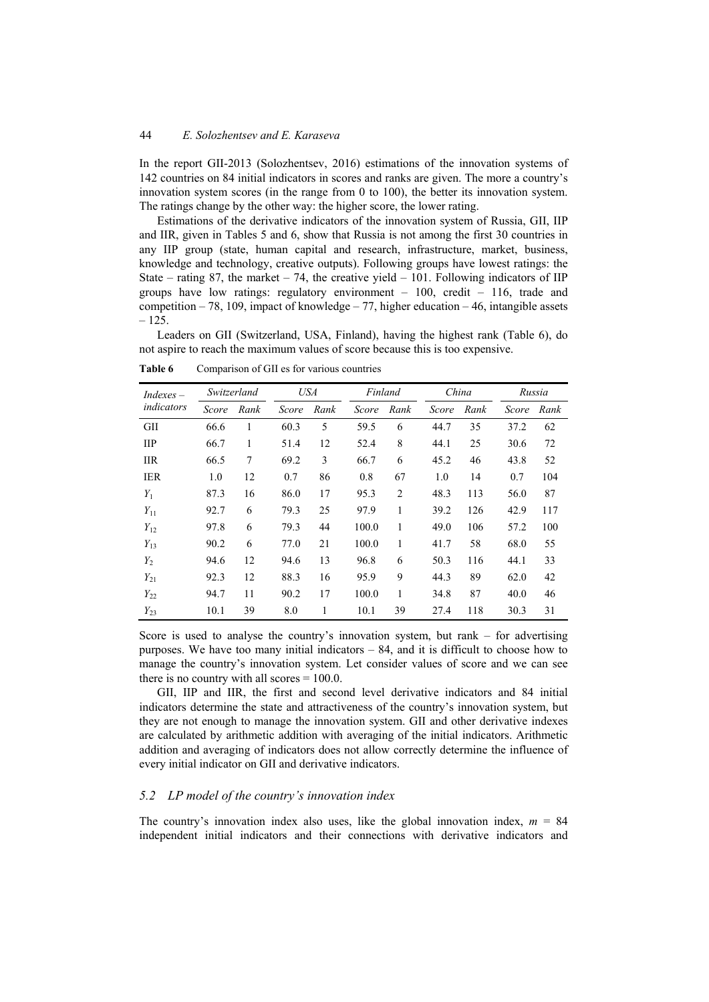In the report GII-2013 (Solozhentsev, 2016) estimations of the innovation systems of 142 countries on 84 initial indicators in scores and ranks are given. The more a country's innovation system scores (in the range from 0 to 100), the better its innovation system. The ratings change by the other way: the higher score, the lower rating.

Estimations of the derivative indicators of the innovation system of Russia, GII, IIP and IIR, given in Tables 5 and 6, show that Russia is not among the first 30 countries in any IIP group (state, human capital and research, infrastructure, market, business, knowledge and technology, creative outputs). Following groups have lowest ratings: the State – rating 87, the market – 74, the creative yield – 101. Following indicators of IIP groups have low ratings: regulatory environment  $-100$ , credit  $-116$ , trade and competition – 78, 109, impact of knowledge – 77, higher education – 46, intangible assets – 125.

Leaders on GII (Switzerland, USA, Finland), having the highest rank (Table 6), do not aspire to reach the maximum values of score because this is too expensive.

| $Indexes -$ | Switzerland |      |       | <b>USA</b> |       | Finland        |       | China |       | Russia |  |
|-------------|-------------|------|-------|------------|-------|----------------|-------|-------|-------|--------|--|
| indicators  | Score       | Rank | Score | Rank       | Score | Rank           | Score | Rank  | Score | Rank   |  |
| GII         | 66.6        | 1    | 60.3  | 5          | 59.5  | 6              | 44.7  | 35    | 37.2  | 62     |  |
| <b>IIP</b>  | 66.7        | 1    | 51.4  | 12         | 52.4  | 8              | 44.1  | 25    | 30.6  | 72     |  |
| <b>IIR</b>  | 66.5        | 7    | 69.2  | 3          | 66.7  | 6              | 45.2  | 46    | 43.8  | 52     |  |
| <b>IER</b>  | 1.0         | 12   | 0.7   | 86         | 0.8   | 67             | 1.0   | 14    | 0.7   | 104    |  |
| $Y_1$       | 87.3        | 16   | 86.0  | 17         | 95.3  | $\overline{2}$ | 48.3  | 113   | 56.0  | 87     |  |
| $Y_{11}$    | 92.7        | 6    | 79.3  | 25         | 97.9  | 1              | 39.2  | 126   | 42.9  | 117    |  |
| $Y_{12}$    | 97.8        | 6    | 79.3  | 44         | 100.0 | 1              | 49.0  | 106   | 57.2  | 100    |  |
| $Y_{13}$    | 90.2        | 6    | 77.0  | 21         | 100.0 | 1              | 41.7  | 58    | 68.0  | 55     |  |
| $Y_2$       | 94.6        | 12   | 94.6  | 13         | 96.8  | 6              | 50.3  | 116   | 44.1  | 33     |  |
| $Y_{21}$    | 92.3        | 12   | 88.3  | 16         | 95.9  | 9              | 44.3  | 89    | 62.0  | 42     |  |
| $Y_{22}$    | 94.7        | 11   | 90.2  | 17         | 100.0 | 1              | 34.8  | 87    | 40.0  | 46     |  |
| $Y_{23}$    | 10.1        | 39   | 8.0   | 1          | 10.1  | 39             | 27.4  | 118   | 30.3  | 31     |  |

Table 6 Comparison of GII es for various countries

Score is used to analyse the country's innovation system, but rank – for advertising purposes. We have too many initial indicators  $-84$ , and it is difficult to choose how to manage the country's innovation system. Let consider values of score and we can see there is no country with all scores  $= 100.0$ .

GII, IIP and IIR, the first and second level derivative indicators and 84 initial indicators determine the state and attractiveness of the country's innovation system, but they are not enough to manage the innovation system. GII and other derivative indexes are calculated by arithmetic addition with averaging of the initial indicators. Arithmetic addition and averaging of indicators does not allow correctly determine the influence of every initial indicator on GII and derivative indicators.

#### *5.2 LP model of the country's innovation index*

The country's innovation index also uses, like the global innovation index,  $m = 84$ independent initial indicators and their connections with derivative indicators and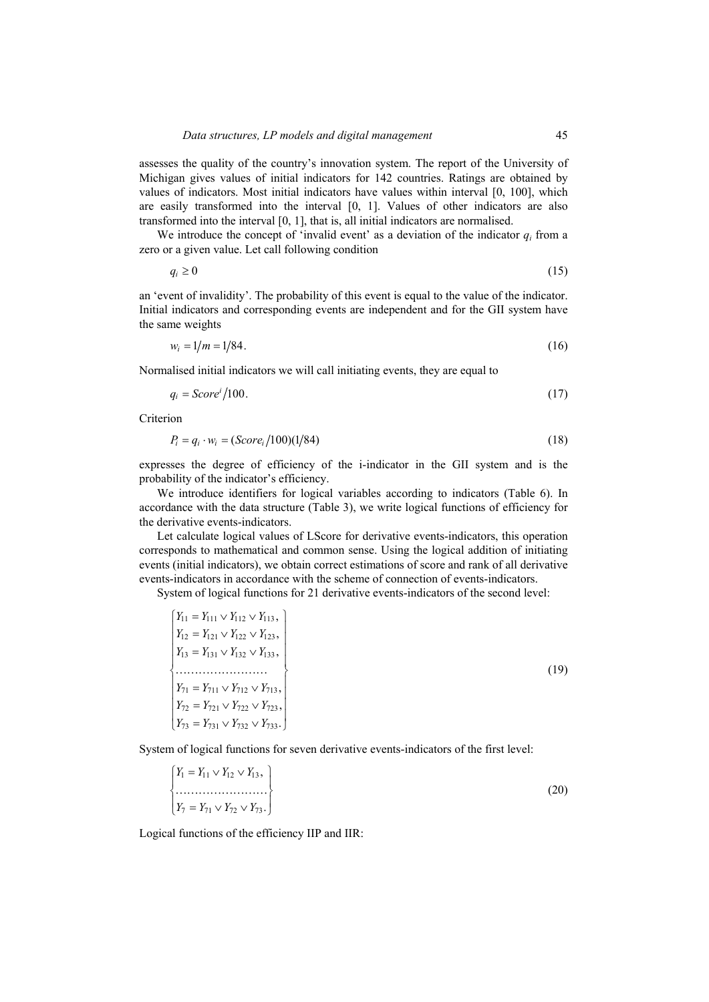assesses the quality of the country's innovation system. The report of the University of Michigan gives values of initial indicators for 142 countries. Ratings are obtained by values of indicators. Most initial indicators have values within interval [0, 100], which are easily transformed into the interval [0, 1]. Values of other indicators are also transformed into the interval [0, 1], that is, all initial indicators are normalised.

We introduce the concept of 'invalid event' as a deviation of the indicator  $q_i$  from a zero or a given value. Let call following condition

$$
q_i \ge 0 \tag{15}
$$

an 'event of invalidity'. The probability of this event is equal to the value of the indicator. Initial indicators and corresponding events are independent and for the GII system have the same weights

$$
w_i = 1/m = 1/84. \tag{16}
$$

Normalised initial indicators we will call initiating events, they are equal to

$$
q_i = Score^i / 100.
$$
 (17)

Criterion

$$
P_i = q_i \cdot w_i = (Score_i/100)(1/84)
$$
\n(18)

expresses the degree of efficiency of the i-indicator in the GII system and is the probability of the indicator's efficiency.

We introduce identifiers for logical variables according to indicators (Table 6). In accordance with the data structure (Table 3), we write logical functions of efficiency for the derivative events-indicators.

Let calculate logical values of LScore for derivative events-indicators, this operation corresponds to mathematical and common sense. Using the logical addition of initiating events (initial indicators), we obtain correct estimations of score and rank of all derivative events-indicators in accordance with the scheme of connection of events-indicators.

System of logical functions for 21 derivative events-indicators of the second level:

| $Y_{11} = Y_{111} \vee Y_{112} \vee Y_{113}$    |      |
|-------------------------------------------------|------|
| $Y_{12} = Y_{121} \vee Y_{122} \vee Y_{123}$    |      |
| $Y_{13} = Y_{131} \vee Y_{132} \vee Y_{133}$    |      |
| .                                               | (19) |
| $ Y_{71} = Y_{711} \vee Y_{712} \vee Y_{713}, $ |      |
| $ Y_{72} = Y_{721} \vee Y_{722} \vee Y_{723}, $ |      |
| $Y_{73} = Y_{731} \vee Y_{732} \vee Y_{733}.$   |      |

System of logical functions for seven derivative events-indicators of the first level:

$$
\begin{cases}\nY_1 = Y_{11} \vee Y_{12} \vee Y_{13}, \\
\vdots \\
Y_7 = Y_{71} \vee Y_{72} \vee Y_{73}.\n\end{cases}
$$
\n(20)

Logical functions of the efficiency IIP and IIR: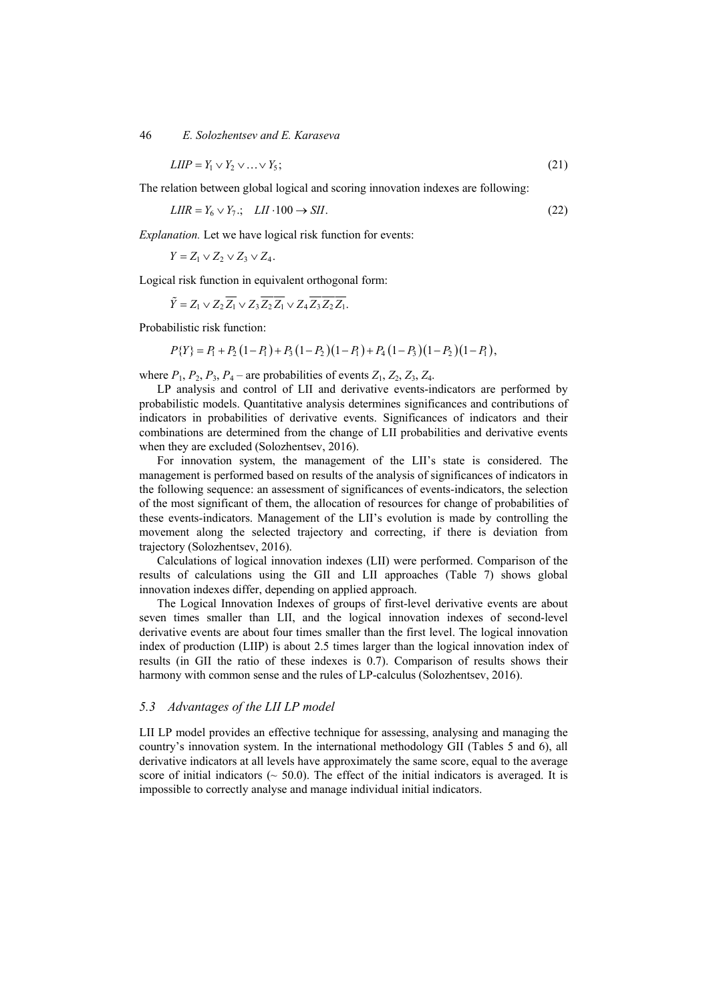$$
LIP = Y_1 \vee Y_2 \vee \ldots \vee Y_5; \tag{21}
$$

The relation between global logical and scoring innovation indexes are following:

$$
LIR = Y_6 \vee Y_7; \quad LII \cdot 100 \to SII. \tag{22}
$$

*Explanation.* Let we have logical risk function for events:

 $Y = Z_1 \vee Z_2 \vee Z_3 \vee Z_4$ .

Logical risk function in equivalent orthogonal form:

 $\tilde{Y} = Z_1 \vee Z_2 \overline{Z_1} \vee Z_3 \overline{Z_2} \overline{Z_1} \vee Z_4 \overline{Z_3} \overline{Z_2} \overline{Z_1}.$ 

Probabilistic risk function:

$$
P\{Y\} = P_1 + P_2(1-P_1) + P_3(1-P_2)(1-P_1) + P_4(1-P_3)(1-P_2)(1-P_1),
$$

where  $P_1$ ,  $P_2$ ,  $P_3$ ,  $P_4$  – are probabilities of events  $Z_1$ ,  $Z_2$ ,  $Z_3$ ,  $Z_4$ .

LP analysis and control of LII and derivative events-indicators are performed by probabilistic models. Quantitative analysis determines significances and contributions of indicators in probabilities of derivative events. Significances of indicators and their combinations are determined from the change of LII probabilities and derivative events when they are excluded (Solozhentsev, 2016).

For innovation system, the management of the LII's state is considered. The management is performed based on results of the analysis of significances of indicators in the following sequence: an assessment of significances of events-indicators, the selection of the most significant of them, the allocation of resources for change of probabilities of these events-indicators. Management of the LII's evolution is made by controlling the movement along the selected trajectory and correcting, if there is deviation from trajectory (Solozhentsev, 2016).

Calculations of logical innovation indexes (LII) were performed. Comparison of the results of calculations using the GII and LII approaches (Table 7) shows global innovation indexes differ, depending on applied approach.

The Logical Innovation Indexes of groups of first-level derivative events are about seven times smaller than LII, and the logical innovation indexes of second-level derivative events are about four times smaller than the first level. The logical innovation index of production (LIIP) is about 2.5 times larger than the logical innovation index of results (in GII the ratio of these indexes is 0.7). Comparison of results shows their harmony with common sense and the rules of LP-calculus (Solozhentsev, 2016).

#### *5.3 Advantages of the LII LP model*

LII LP model provides an effective technique for assessing, analysing and managing the country's innovation system. In the international methodology GII (Tables 5 and 6), all derivative indicators at all levels have approximately the same score, equal to the average score of initial indicators  $($   $\sim$  50.0). The effect of the initial indicators is averaged. It is impossible to correctly analyse and manage individual initial indicators.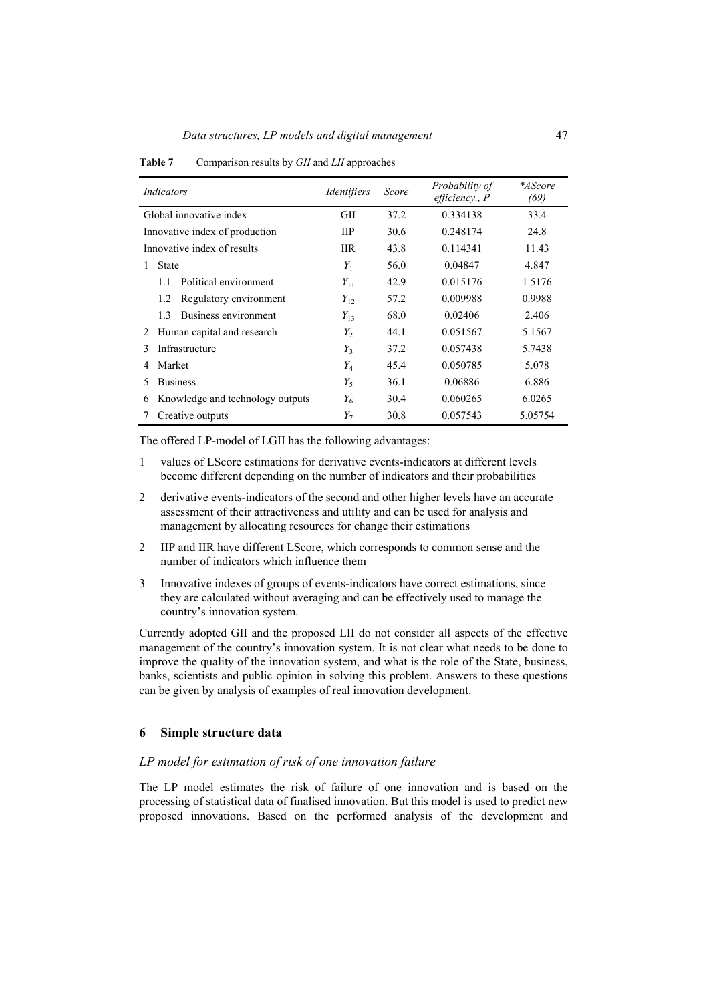| <i>Indicators</i>              |                                  | Identifiers  | Score | Probability of<br>efficiency., P | *AScore<br>(69) |
|--------------------------------|----------------------------------|--------------|-------|----------------------------------|-----------------|
| Global innovative index        |                                  | GII          | 37.2  | 0.334138                         | 33.4            |
| Innovative index of production |                                  | $_{\rm IIP}$ | 30.6  | 0.248174                         | 24.8            |
| Innovative index of results    |                                  | <b>IIR</b>   | 43.8  | 0.114341                         | 11.43           |
|                                | <b>State</b>                     | $Y_1$        | 56.0  | 0.04847                          | 4.847           |
|                                | Political environment<br>1.1     | $Y_{11}$     | 42.9  | 0.015176                         | 1.5176          |
|                                | 1.2<br>Regulatory environment    | $Y_{12}$     | 57.2  | 0.009988                         | 0.9988          |
|                                | Business environment<br>1.3      | $Y_{13}$     | 68.0  | 0.02406                          | 2.406           |
| 2                              | Human capital and research       | $Y_2$        | 44.1  | 0.051567                         | 5.1567          |
| 3                              | Infrastructure                   | $Y_3$        | 37.2  | 0.057438                         | 5.7438          |
| 4                              | Market                           | $Y_4$        | 45.4  | 0.050785                         | 5.078           |
| 5                              | <b>Business</b>                  | $Y_{5}$      | 36.1  | 0.06886                          | 6.886           |
| 6                              | Knowledge and technology outputs | $Y_6$        | 30.4  | 0.060265                         | 6.0265          |
|                                | Creative outputs                 | $Y_7$        | 30.8  | 0.057543                         | 5.05754         |

**Table 7** Comparison results by *GII* and *LII* approaches

The offered LP-model of LGII has the following advantages:

- 1 values of LScore estimations for derivative events-indicators at different levels become different depending on the number of indicators and their probabilities
- 2 derivative events-indicators of the second and other higher levels have an accurate assessment of their attractiveness and utility and can be used for analysis and management by allocating resources for change their estimations
- 2 IIP and IIR have different LScore, which corresponds to common sense and the number of indicators which influence them
- 3 Innovative indexes of groups of events-indicators have correct estimations, since they are calculated without averaging and can be effectively used to manage the country's innovation system.

Currently adopted GII and the proposed LII do not consider all aspects of the effective management of the country's innovation system. It is not clear what needs to be done to improve the quality of the innovation system, and what is the role of the State, business, banks, scientists and public opinion in solving this problem. Answers to these questions can be given by analysis of examples of real innovation development.

#### **6 Simple structure data**

#### *LP model for estimation of risk of one innovation failure*

The LP model estimates the risk of failure of one innovation and is based on the processing of statistical data of finalised innovation. But this model is used to predict new proposed innovations. Based on the performed analysis of the development and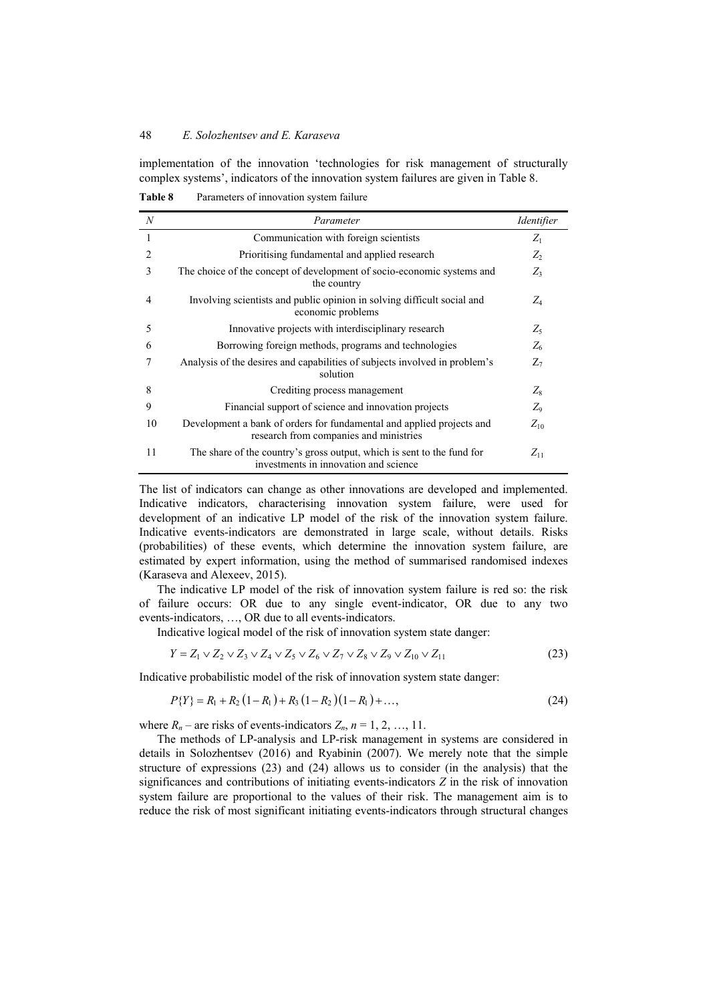implementation of the innovation 'technologies for risk management of structurally complex systems', indicators of the innovation system failures are given in Table 8.

| N  | Parameter                                                                                                       | Identifier |
|----|-----------------------------------------------------------------------------------------------------------------|------------|
| 1  | Communication with foreign scientists                                                                           |            |
| 2  | Prioritising fundamental and applied research                                                                   | $Z_{2}$    |
| 3  | The choice of the concept of development of socio-economic systems and<br>the country                           | $Z_3$      |
| 4  | Involving scientists and public opinion in solving difficult social and<br>economic problems                    |            |
| 5  | Innovative projects with interdisciplinary research                                                             | $Z_5$      |
| 6  | Borrowing foreign methods, programs and technologies                                                            | $Z_6$      |
|    | Analysis of the desires and capabilities of subjects involved in problem's<br>solution                          | $Z_{7}$    |
| 8  | Crediting process management                                                                                    | $Z_8$      |
| 9  | Financial support of science and innovation projects                                                            | $Z_9$      |
| 10 | Development a bank of orders for fundamental and applied projects and<br>research from companies and ministries | $Z_{10}$   |
| 11 | The share of the country's gross output, which is sent to the fund for<br>investments in innovation and science | $Z_{11}$   |

**Table 8** Parameters of innovation system failure

The list of indicators can change as other innovations are developed and implemented. Indicative indicators, characterising innovation system failure, were used for development of an indicative LP model of the risk of the innovation system failure. Indicative events-indicators are demonstrated in large scale, without details. Risks (probabilities) of these events, which determine the innovation system failure, are estimated by expert information, using the method of summarised randomised indexes (Karaseva and Alexeev, 2015).

The indicative LP model of the risk of innovation system failure is red so: the risk of failure occurs: OR due to any single event-indicator, OR due to any two events-indicators, …, OR due to all events-indicators.

Indicative logical model of the risk of innovation system state danger:

$$
Y = Z_1 \vee Z_2 \vee Z_3 \vee Z_4 \vee Z_5 \vee Z_6 \vee Z_7 \vee Z_8 \vee Z_9 \vee Z_{10} \vee Z_{11}
$$
 (23)

Indicative probabilistic model of the risk of innovation system state danger:

$$
P\{Y\} = R_1 + R_2(1 - R_1) + R_3(1 - R_2)(1 - R_1) + \dots,
$$
\n(24)

where  $R_n$  – are risks of events-indicators  $Z_n$ ,  $n = 1, 2, ..., 11$ .

The methods of LP-analysis and LP-risk management in systems are considered in details in Solozhentsev (2016) and Ryabinin (2007). We merely note that the simple structure of expressions (23) and (24) allows us to consider (in the analysis) that the significances and contributions of initiating events-indicators *Z* in the risk of innovation system failure are proportional to the values of their risk. The management aim is to reduce the risk of most significant initiating events-indicators through structural changes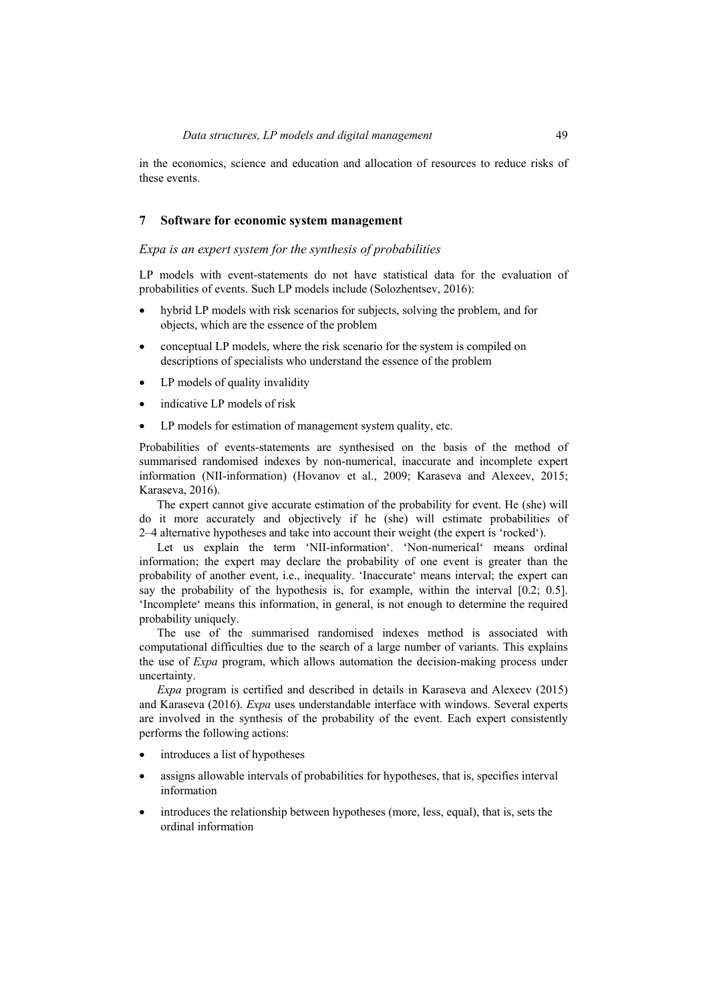in the economics, science and education and allocation of resources to reduce risks of these events.

#### **7 Software for economic system management**

### *Expa is an expert system for the synthesis of probabilities*

LP models with event-statements do not have statistical data for the evaluation of probabilities of events. Such LP models include (Solozhentsev, 2016):

- hybrid LP models with risk scenarios for subjects, solving the problem, and for objects, which are the essence of the problem
- conceptual LP models, where the risk scenario for the system is compiled on descriptions of specialists who understand the essence of the problem
- LP models of quality invalidity
- indicative LP models of risk
- LP models for estimation of management system quality, etc.

Probabilities of events-statements are synthesised on the basis of the method of summarised randomised indexes by non-numerical, inaccurate and incomplete expert information (NII-information) (Hovanov et al., 2009; Karaseva and Alexeev, 2015; Karaseva, 2016).

The expert cannot give accurate estimation of the probability for event. He (she) will do it more accurately and objectively if he (she) will estimate probabilities of 2–4 alternative hypotheses and take into account their weight (the expert is 'rocked').

Let us explain the term 'NII-information'. 'Non-numerical' means ordinal information; the expert may declare the probability of one event is greater than the probability of another event, i.e., inequality. 'Inaccurate' means interval; the expert can say the probability of the hypothesis is, for example, within the interval [0.2; 0.5]. 'Incomplete' means this information, in general, is not enough to determine the required probability uniquely.

The use of the summarised randomised indexes method is associated with computational difficulties due to the search of a large number of variants. This explains the use of *Expa* program, which allows automation the decision-making process under uncertainty.

*Expa* program is certified and described in details in Karaseva and Alexeev (2015) and Karaseva (2016). *Expa* uses understandable interface with windows. Several experts are involved in the synthesis of the probability of the event. Each expert consistently performs the following actions:

- introduces a list of hypotheses
- assigns allowable intervals of probabilities for hypotheses, that is, specifies interval information
- introduces the relationship between hypotheses (more, less, equal), that is, sets the ordinal information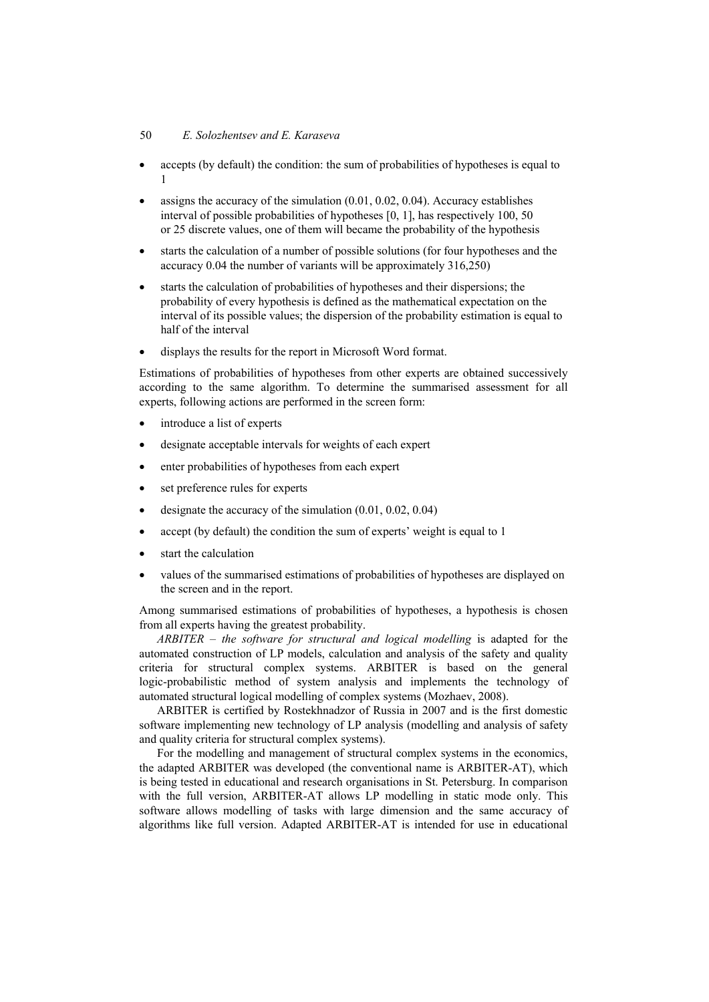- accepts (by default) the condition: the sum of probabilities of hypotheses is equal to 1
- $\bullet$  assigns the accuracy of the simulation (0.01, 0.02, 0.04). Accuracy establishes interval of possible probabilities of hypotheses [0, 1], has respectively 100, 50 or 25 discrete values, one of them will became the probability of the hypothesis
- starts the calculation of a number of possible solutions (for four hypotheses and the accuracy 0.04 the number of variants will be approximately 316,250)
- starts the calculation of probabilities of hypotheses and their dispersions; the probability of every hypothesis is defined as the mathematical expectation on the interval of its possible values; the dispersion of the probability estimation is equal to half of the interval
- displays the results for the report in Microsoft Word format.

Estimations of probabilities of hypotheses from other experts are obtained successively according to the same algorithm. To determine the summarised assessment for all experts, following actions are performed in the screen form:

- introduce a list of experts
- designate acceptable intervals for weights of each expert
- enter probabilities of hypotheses from each expert
- set preference rules for experts
- $\bullet$  designate the accuracy of the simulation  $(0.01, 0.02, 0.04)$
- accept (by default) the condition the sum of experts' weight is equal to 1
- start the calculation
- values of the summarised estimations of probabilities of hypotheses are displayed on the screen and in the report.

Among summarised estimations of probabilities of hypotheses, a hypothesis is chosen from all experts having the greatest probability.

*ARBITER – the software for structural and logical modelling* is adapted for the automated construction of LP models, calculation and analysis of the safety and quality criteria for structural complex systems. ARBITER is based on the general logic-probabilistic method of system analysis and implements the technology of automated structural logical modelling of complex systems (Mozhaev, 2008).

ARBITER is certified by Rostekhnadzor of Russia in 2007 and is the first domestic software implementing new technology of LP analysis (modelling and analysis of safety and quality criteria for structural complex systems).

For the modelling and management of structural complex systems in the economics, the adapted ARBITER was developed (the conventional name is ARBITER-AT), which is being tested in educational and research organisations in St. Petersburg. In comparison with the full version, ARBITER-AT allows LP modelling in static mode only. This software allows modelling of tasks with large dimension and the same accuracy of algorithms like full version. Adapted ARBITER-AT is intended for use in educational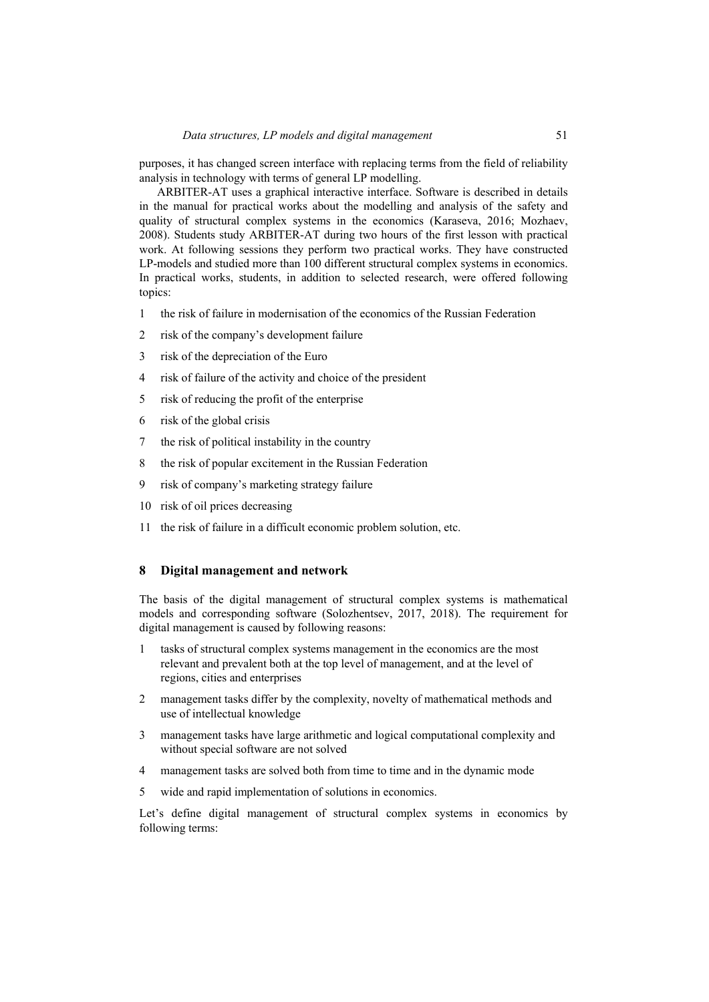purposes, it has changed screen interface with replacing terms from the field of reliability analysis in technology with terms of general LP modelling.

ARBITER-AT uses a graphical interactive interface. Software is described in details in the manual for practical works about the modelling and analysis of the safety and quality of structural complex systems in the economics (Karaseva, 2016; Mozhaev, 2008). Students study ARBITER-AT during two hours of the first lesson with practical work. At following sessions they perform two practical works. They have constructed LP-models and studied more than 100 different structural complex systems in economics. In practical works, students, in addition to selected research, were offered following topics:

- 1 the risk of failure in modernisation of the economics of the Russian Federation
- 2 risk of the company's development failure
- 3 risk of the depreciation of the Euro
- 4 risk of failure of the activity and choice of the president
- 5 risk of reducing the profit of the enterprise
- 6 risk of the global crisis
- 7 the risk of political instability in the country
- 8 the risk of popular excitement in the Russian Federation
- 9 risk of company's marketing strategy failure
- 10 risk of oil prices decreasing
- 11 the risk of failure in a difficult economic problem solution, etc.

#### **8 Digital management and network**

The basis of the digital management of structural complex systems is mathematical models and corresponding software (Solozhentsev, 2017, 2018). The requirement for digital management is caused by following reasons:

- 1 tasks of structural complex systems management in the economics are the most relevant and prevalent both at the top level of management, and at the level of regions, cities and enterprises
- 2 management tasks differ by the complexity, novelty of mathematical methods and use of intellectual knowledge
- 3 management tasks have large arithmetic and logical computational complexity and without special software are not solved
- 4 management tasks are solved both from time to time and in the dynamic mode
- 5 wide and rapid implementation of solutions in economics.

Let's define digital management of structural complex systems in economics by following terms: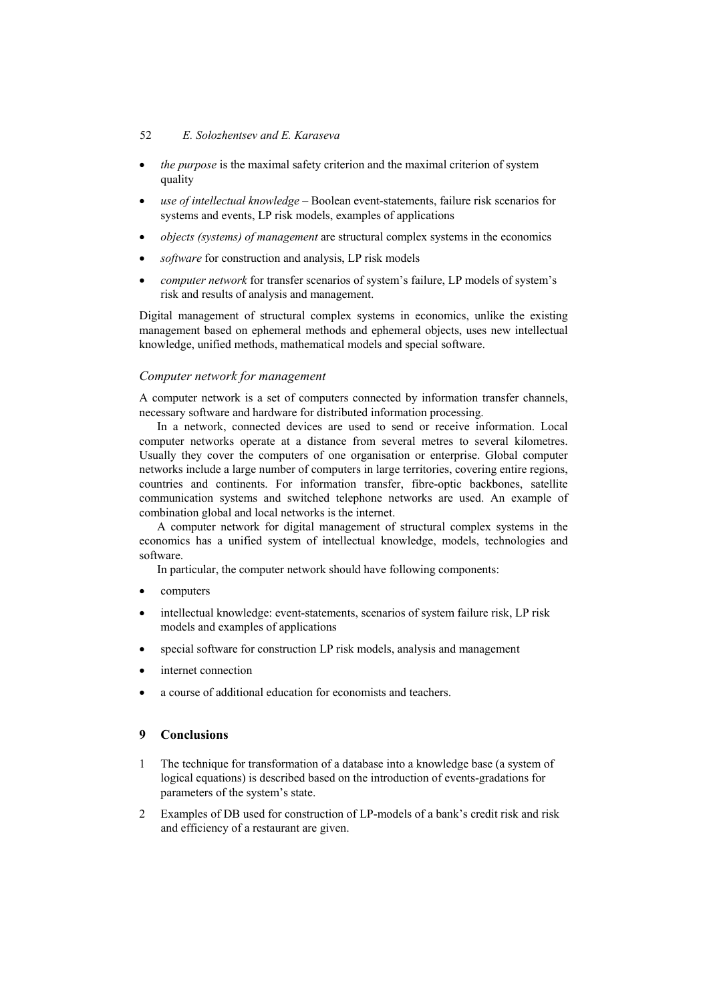- *the purpose* is the maximal safety criterion and the maximal criterion of system quality
- *use of intellectual knowledge* Boolean event-statements, failure risk scenarios for systems and events, LP risk models, examples of applications
- *objects (systems) of management* are structural complex systems in the economics
- *software* for construction and analysis, LP risk models
- *computer network* for transfer scenarios of system's failure, LP models of system's risk and results of analysis and management.

Digital management of structural complex systems in economics, unlike the existing management based on ephemeral methods and ephemeral objects, uses new intellectual knowledge, unified methods, mathematical models and special software.

## *Computer network for management*

A computer network is a set of computers connected by information transfer channels, necessary software and hardware for distributed information processing.

In a network, connected devices are used to send or receive information. Local computer networks operate at a distance from several metres to several kilometres. Usually they cover the computers of one organisation or enterprise. Global computer networks include a large number of computers in large territories, covering entire regions, countries and continents. For information transfer, fibre-optic backbones, satellite communication systems and switched telephone networks are used. An example of combination global and local networks is the internet.

A computer network for digital management of structural complex systems in the economics has a unified system of intellectual knowledge, models, technologies and software.

In particular, the computer network should have following components:

- computers
- intellectual knowledge: event-statements, scenarios of system failure risk, LP risk models and examples of applications
- special software for construction LP risk models, analysis and management
- internet connection
- a course of additional education for economists and teachers.

## **9 Conclusions**

- 1 The technique for transformation of a database into a knowledge base (a system of logical equations) is described based on the introduction of events-gradations for parameters of the system's state.
- 2 Examples of DB used for construction of LP-models of a bank's credit risk and risk and efficiency of a restaurant are given.